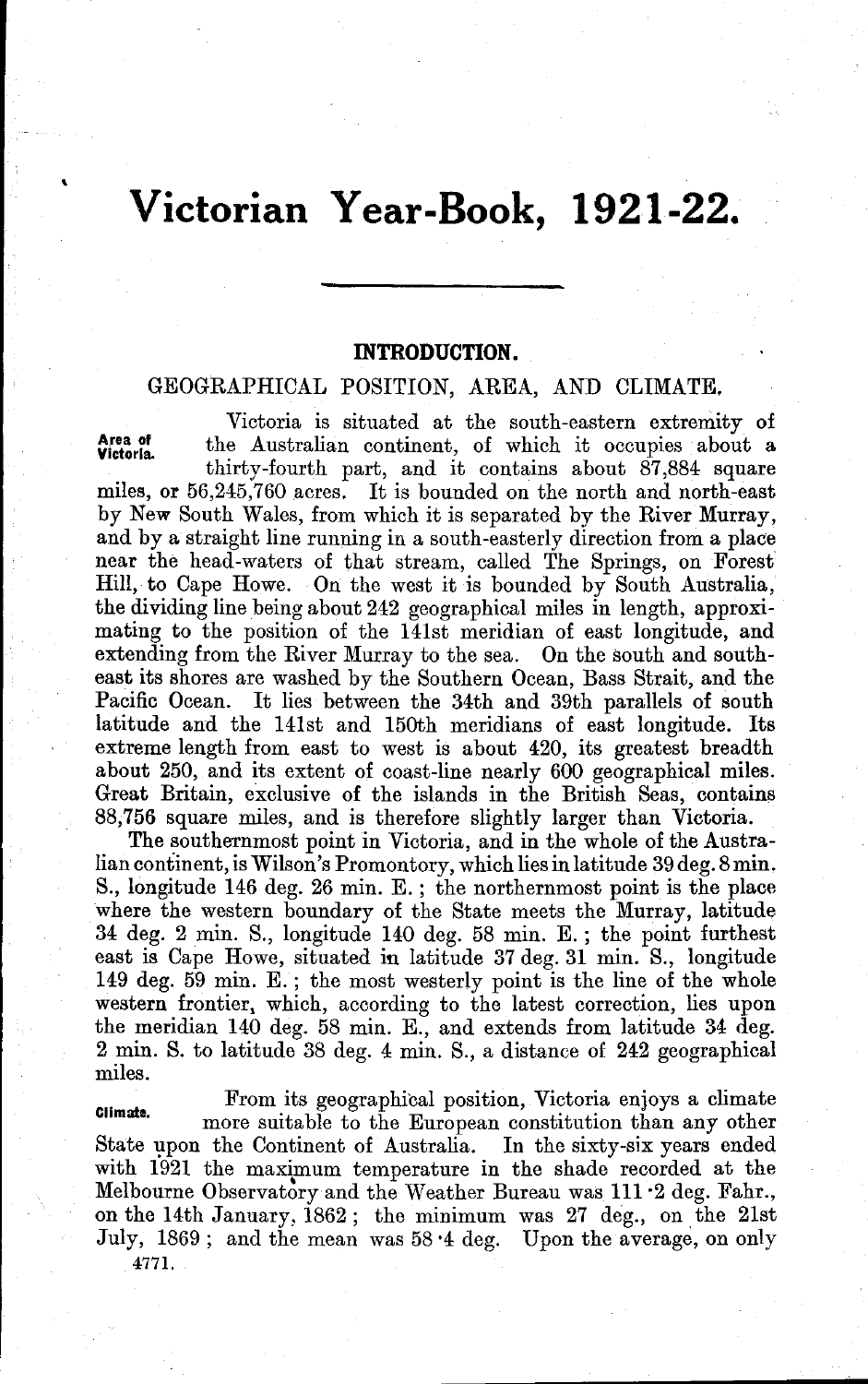# **Victorian Year-Book, 1921-22.**

#### **INTRODUCTION.**

### GEOGRAPHICAL POSITION, AREA, AND CLIMATE.

Area of<br>Victoria. Victoria is situated at the south-eastern extremity of the Australian continent, of which it occupies about a thirty-fourth part, and it contains about 87.884 square miles, or 56,245,760 acres. It is bounded on the north and north-east by New South Wales, from which it is separated by the River Murray, and by a straight line running in a south-easterly direction from a place near the head-waters of that stream, called The Springs, on Forest Hill, to Cape Howe. On the west it is bounded by South Australia, the dividing line being about 242 geographical miles in length, approximating to the position of the 141st meridian of east longitude, and extending from the River Murray to the sea. On the south and southeast its shores are washed by the Southern Ocean, Bass Strait, and the Pacific Ocean. It lies between the 34th and 39th parallels of south latitude and the 141st and 150th meridians of east longitude. Its extreme length from east to west is about 420, its greatest breadth about 250, and its extent of coast-line nearly 600 geographical miles. Great Britain, exclusive of the islands in the British Seas, contains 88,756 square miles, and is therefore slightly larger than Victoria.

The southernmost point in Victoria, and in the whole of the Australian continent, is Wilson's Promontory, which lies in latitude 39 deg. 8 min. S., longitude 146 deg. 26 min. E. ; the northernmost point is the place where the western boundary of the State meets the Murray, latitude 34 deg. 2 min. S., longitude 140 deg. 58 min. E. ; the point furthest east is Cape Howe, situated in latitude 37 deg. 31 min. S., longitude 149 deg. 59 min. E. ; the most westerly point is the line of the whole western frontier, which, according to the latest correction, lies upon the meridian 140 deg. 58 min. E., and extends from latitude 34 deg. 2 min. S. to latitude 38 deg. 4 min. S., a distance of 242 geographical miles.

From its geographical position, Victoria enjoys a climate more suitable to the European constitution than any other State upon the Continent of Australia. In the sixty-six years ended with 1921 the maximum temperature in the shade recorded at the Melbourne Observatory and the Weather Bureau was 111'2 deg. Fahr., on the 14th January,  $1862$ ; the minimum was 27 deg., on the  $21st$ July, 1869; and the mean was 58'4 deg. Upon the average, on only

4771.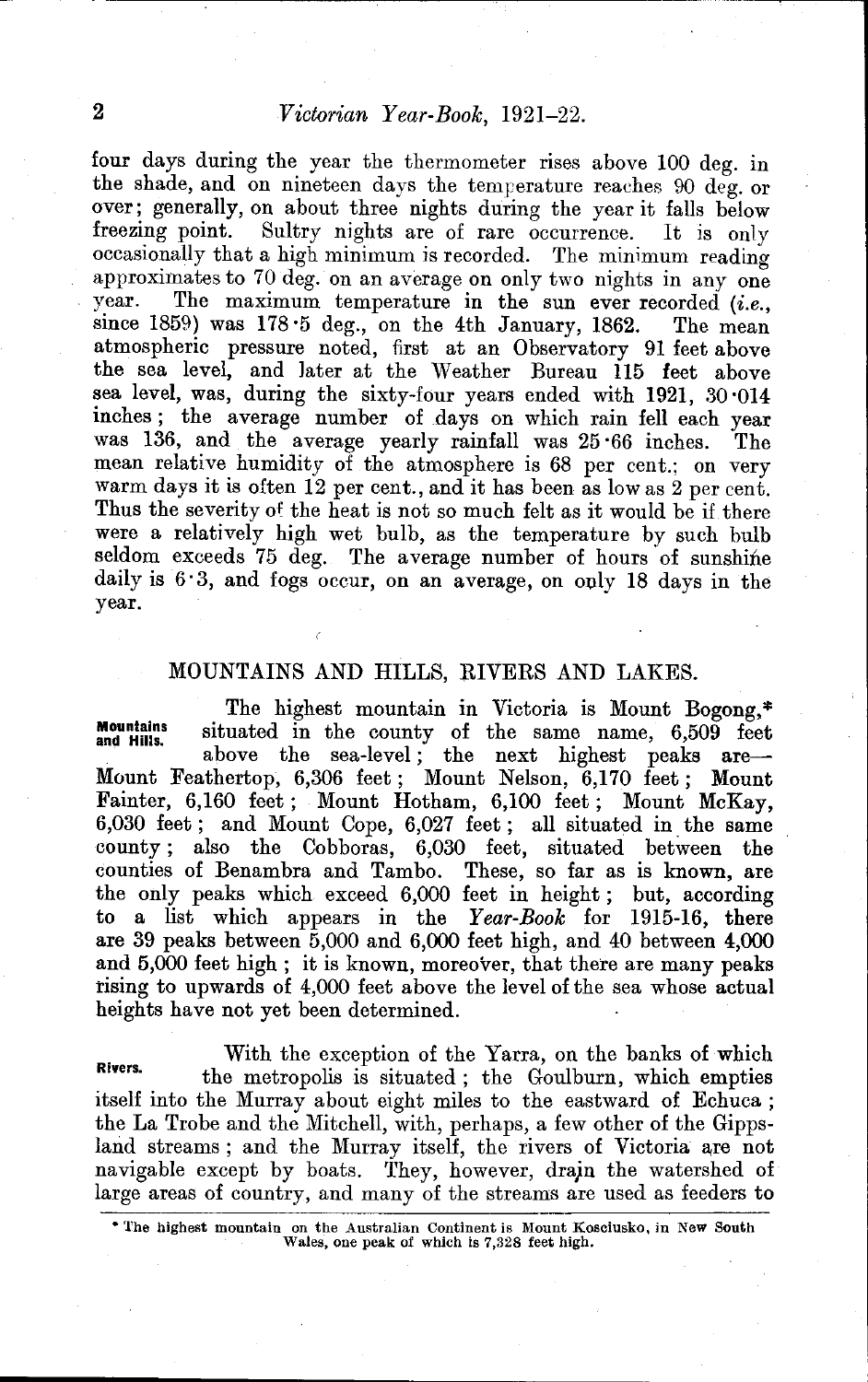four days during the year the thermometer rises above 100 deg. in the shade, and on nineteen days the temperature reaches 90 deg. or over; generally, on about three nights during the year it falls below<br>freezing point. Sultry nights are of rare occurrence. It is only Sultry nights are of rare occurrence. occasionally that a high minimum is recorded. The minimum reading approximates to 70 deg. on an average on only two nights in any one year. The maximum temperature in the sun ever recorded  $(i.e.,$ The maximum temperature in the sun ever recorded *(i.e.,* since 1859) was 178'5 deg., on the 4th January, 1862. The mean atmospheric pressure noted, first at an Observatory 91 feet above the sea level, and later at the Weather Bureau 115 feet above sea level, was, during the sixty-four years ended with 1921, 30 014 inches; the average number of days on which rain fell each year was 136, and the average yearly rainfall was 25 '66 inches. The mean relative humidity of the atmosphere is 68 per cent.; on very warm days it is often 12 per cent., and it has been as low as 2 per cent. Thus the severity of the heat is not so much felt as it would be if there were a relatively high wet bulb, as the temperature by such bulb seldom exceeds 75 deg. The average number of hours of sunshine daily is 6'3, and fogs occur, on an average, on ouly 18 days in the year.

### MOUNTAINS AND HILLS, RIVERS AND LAKES.

**Mountains** and Hills. The highest mountain in Victoria is Mount Bogong, \* situated in the county of the same name, 6,509 feet<br>above the sea-level; the next highest peaks are-Mount Feathertop, 6,306 feet; Mount Nelson, 6,170 feet; Mount Fainter, 6,160 feet; Mount Hotham, 6,100 feet; Mount McKay, 6,030 feet; and Mount Cope, 6,027 feet; all situated in. the same county; also the Cobboras, 6,030 feet, situated between the counties of Benambra and Tambo. These, so far as is known, are the only peaks which exceed 6,000 feet in height; but, according to a list which appears in the *Year-Book* for 1915-16, there are 39 peaks between 5,000 and 6,000 feet high, and 40 between 4,000 and 5,000 feet high; it is known, moreover, that there are many peaks rising to upwards of 4,000 feet above the level of the sea whose actual heights have not yet been determined.

With the exception of the Yarra, on the banks of which Rivers. the metropolis is situated; the Goulburn, which empties itself into the Murray about eight miles to the eastward of Echuca; the La Trobe and the Mitchell, with, perhaps, a few other of the Gippsland streams; and the Murray itself, the rivers of Victoria are not navigable except by boats. They, however, drajn the watershed of large areas of country, and many of the streams are used as feeders to

• The highest mountain on the Anstralian Continent is Mount Kosciusko, iu New South Wales, one peak of which is 7,328 feet high.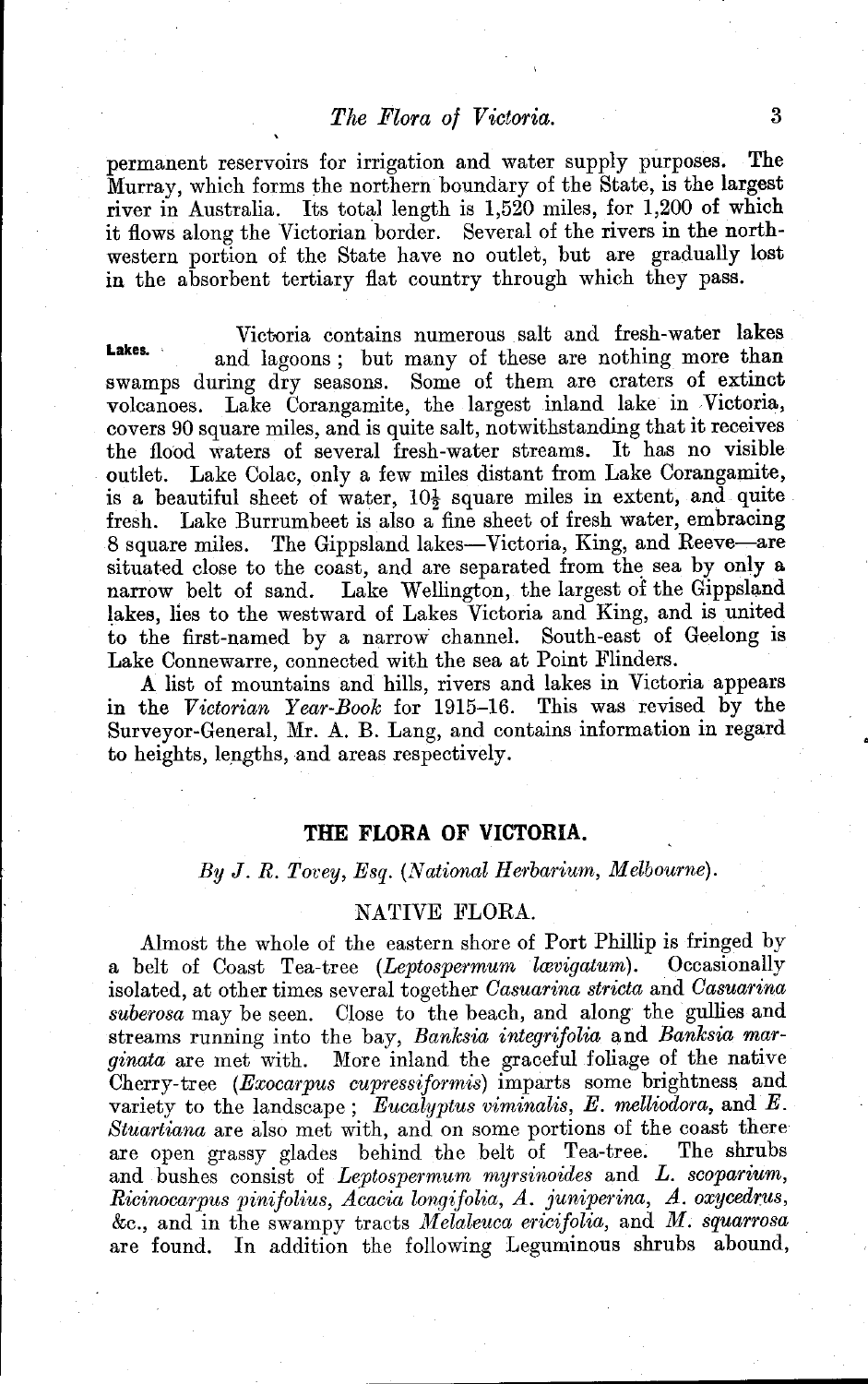### *The Flora of Victoria.* 3

permanent reservoirs for irrigation and water supply purposes. The Murray, which forms the northern boundary of the State, is the largest river in Australia. Its total length is 1,520 miles, for 1,200 of which it flows along the Victorian border. Several of the rivers in the northwestern portion of the State have no outlet, but are gradually lost in the absorbent tertiary flat country through which they pass.

Victoria contains numerous salt and fresh-water lakes Lakes. **and lagoons**; but many of these are nothing more than swamps during dry seasons. Some of them are craters of extinct volcanoes. Lake Corangamite, the largest inland lake in Victoria, covers 90 square miles, and is quite salt, notwithstanding that it receives the flood waters of several fresh-water streams. It has no visible outlet. Lake Colac, only a few miles distant from Lake Corangamite, is a beautiful sheet of water,  $10\frac{1}{2}$  square miles in extent, and quite fresh. Lake Burrumbeet is also a fine sheet of fresh water, embracing 8 square miles. The Gippsland lakes—Victoria, King, and Reeve—are situated close to the coast, and are separated from the sea by only a narrow belt of sand. Lake Wellington, the largest of the Gippsland Lake Wellington, the largest of the Gippsland. lakes, lies to the westward of Lakes Victoria and King, and is united to the first-named by a narrow channel. South-east of Geelong is Lake Connewarre, connected with the sea at Point Flinders.

A list of mountains and hills, rivers and lakes in Victoria appears in the *Victorian Year-Book* for 1915-16. This was revised by the Surveyor-General, Mr. A. B. Lang, and contains information in regard to heights, lengths, and areas respectively.

#### **THE FLORA OF VICTORIA.**

*By* J. *R. Tovey, Esq. (National Herbarium, Melbourne).* 

#### NATIVE FLORA.

Almost the whole of the eastern shore of Port Phillip is fringed by a belt of Coast Tea-tree *(Leptospermum Zwvigatum).* Occasionally isolated, at other times several together *Casuarina stricta* and *Casuarina suberosa* may be seen. Close to the beach, and along the gullies and streams running into the bay, *Banksia integrifolia* and *Banksia marginata* are met with. More inland the graceful foliage of the native Cherry-tree *(Exocarpus cupressiformis)* imparts some brightness and variety to the landscape; *Eucalyptus viminalis, E. melliodora,* and *E. Stuartiana* are also met with, and on some portions of the coast there are open grassy glades behind the belt of Tea-tree. The shrubs and bushes consist of *Leptospermum myrsinoides* and *L. scoparium, Ricinocarpus pinifolius, Acacia longifolia, A. juniperina, A. oxycedrus,*  $\&c.,$  and in the swampy tracts *Melaleuca ericifolia*, and *M. squarrosa* are found. In addition the following Leguminous shrubs abound,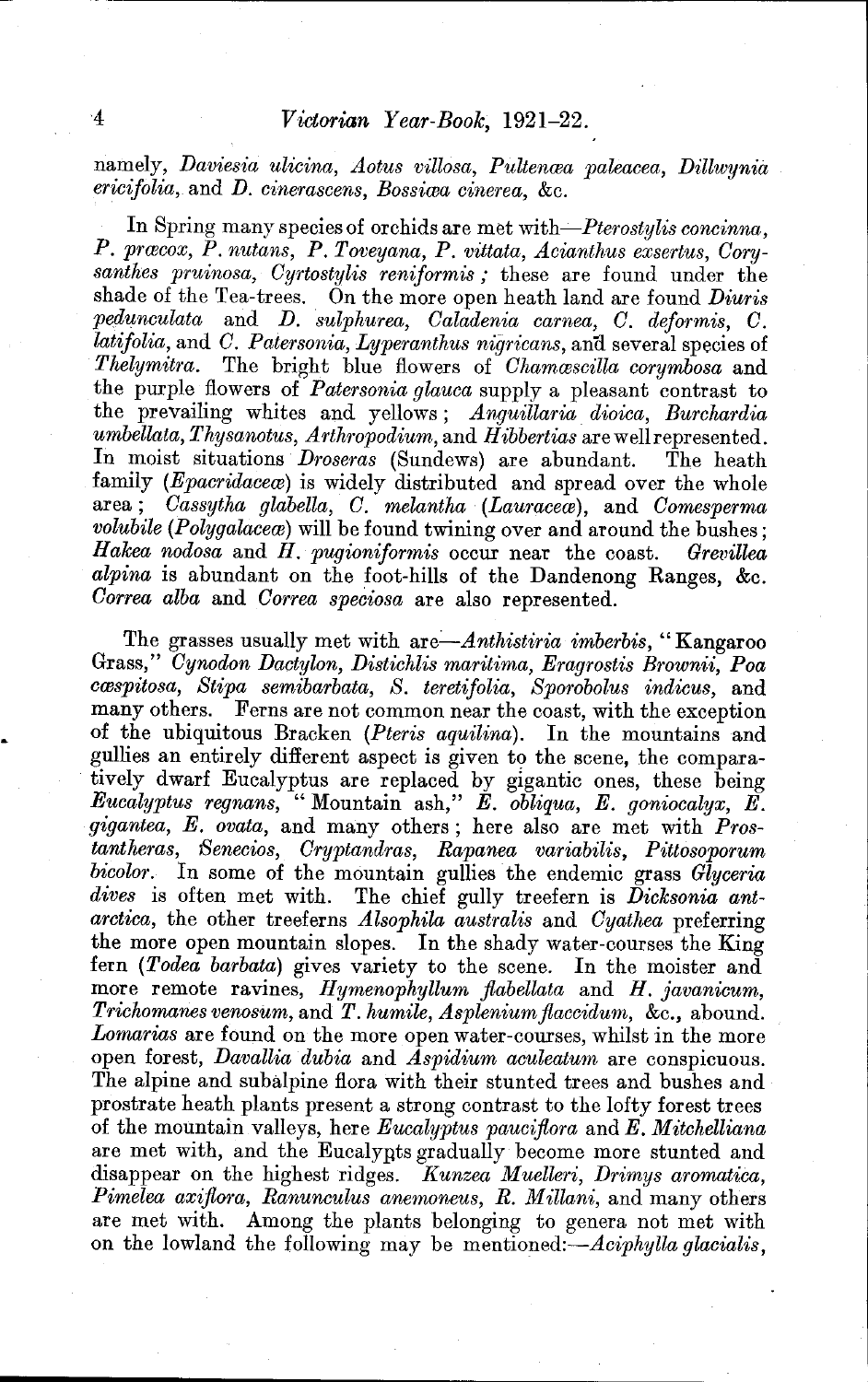namely, *Daviesia ulicina, Aotus villosa, Pultenæa paleacea, Dillwynia ericifolia,* and *D. cinerascens, Bossima cinerea,* &c.

In Spring many species of orchids are met with-*Pterostylis concinna*. P. præcox, P. nutans, P. Toveyana, P. vittata, Acianthus exsertus, Cory*santhes pruinosa, Cyrtostylis reniform is;* these are found under the shade of the Tea-trees. On the more open heath land are found *Diuris pedunculata* and *D. sulphurea, Caladenia carnea, C. deformis, C. latifolia, and C. Patersonia, Lyperanthus nigricans, and several species of Thelymitra.* The bright blue flowers of *Chammscilla corymbosa* and the purple flowers of *Patersonia glauca* supply a pleasant contrast to the prevailing whites and yellows; *Anguillaria dioica, Burchardia umbellata, Thysanotus, Arthropodium,* and *Hibbertias* are well represented. In moist situations *Droseras* (Sundews) are abundant. The heath family *(Epacridacea*) is widely distributed and spread over the whole area; *Cassytha glabella*, *C. melantha (Lauraceae)*, and *Comesperma volubile (Polygalacea*) will be found twining over and around the bushes; *Hakea nodosa* and *H. pugioniformis* occur near the coast. *Grevillea alpina* is abundant on the foot-hills of the Dandenong Ranges, &c. *Correa alba* and *Correa speciosa* are also represented.

The grasses usually met with *are-Anthistiria imberbis,* "Kangaroo Grass," *Cynodon Dactylon, Distichlis maritima, Eragrostis Brownii, Poa cmspitosa, Stipa semibarbata, S. teretifolia, Sporobolus indicus,* and many others. Ferns are not common near the coast, with the exception of the ubiquitous Bracken *(Pteris aquilina).* In the mountains and gullies an entirely different aspect is given to the scene, the comparatively dwarf Eucalyptus are replaced by gigantic ones, these being *Eucalyptus regnans,* "Mountain ash," *E. obliqua, E. goniocalyx, E. gigantea, E. ovata,* and many others; here also are met with *Prostantheras, Senecios, Cryptandras, Rapanea variabilis, Pittosoporum bicolor.* In some of the mountain gullies the endemic grass *Glyceria dives* is often met with. The chief gully treefern is *Dicksonia antarctica,* the other treeferns *Alsophila australis* and *Cyathea* preferring the more open mountain slopes. **In** the shady water-courses the King fern *(Todea barbata)* gives variety to the scene. In the moister and more remote ravines, *Hymenophyllum fiabellata* and *H. javanicum, Trichomanes venosum,* and *T. humile, Aspleniumfiaccidum,* &c., abound. *Lomarias* are found on the more open water-courses, whilst in the more open forest, *Davallia dubia* and *Aspidium aculeatum* are conspicuous. The alpine and subalpine flora with their stunted trees and bushes and prostrate heath plants present a strong contrast to the lofty forest trees of the mountain valleys, here *Eucalyptus paucifiora* and *E. Mitchelliana*  are met with, and the Eucalynts gradually become more stunted and disappear on the highest ridges. *Kunzea Muelleri, Drimys aromatica, Pimelea axifiora, Ranunculus anemoneus, R. Millani,* and many others are met with. Among the plants belonging to genera not met with on the lowland the following may be mentioned:-*-Aciphylla glacialis*,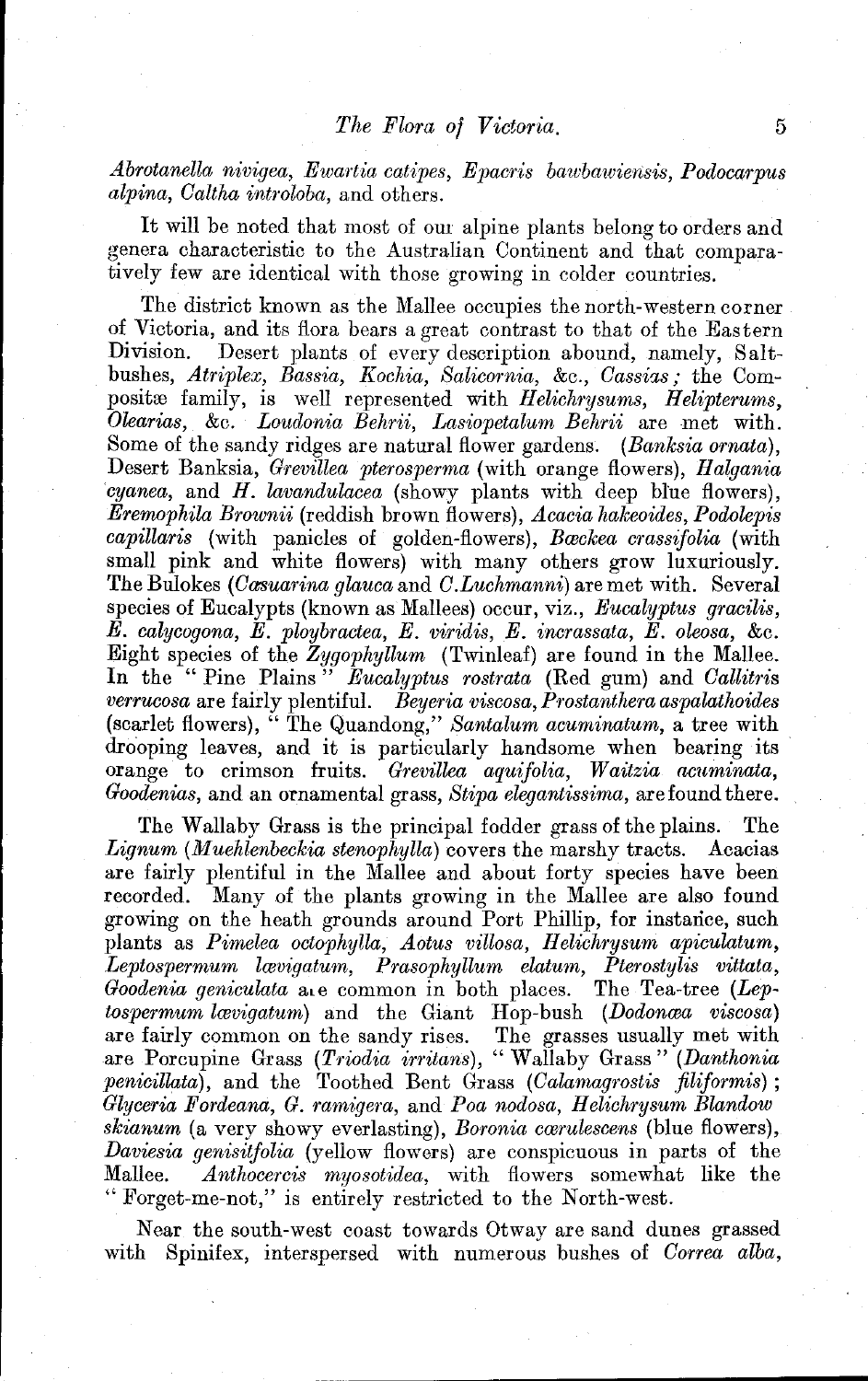*Abrotanella nivigea, Ewartia catipes, Epacris bawbawiensis, Podocarpus alpina, Caltha introloba,* and others.

It will be noted that most of our alpine plants belong to orders and genera characteristic to the Australian Continent and that comparatively few are identical with those growing in colder countries.

The district known as the Mallee occupies the north-western corner of Victoria, and its flora bears a great contrast to that of the Eastern Desert plants of every description abound, namely, Saltbushes, *Atriplex, Bassia, Kochia, Salicornia, &c., Cassias*; the Composito family, is well represented with *Helichrysums*, *Helipterums*, *Olearias,* &c. *Loudonia Behrii, Lasiopetalum Behrii* are met with. Some of the sandy ridges are natural flower gardens. *(Banksia ornata)*, Desert Banksia, *Grevillea pterosperma* (with orange flowers), *Halgania cyanea,* and *H. lavandulacea* (showy plants with deep blue flowers), *Eremophila Brownii* (reddish brown flowers), *Acacia hakeoides, Podolepis capillaris* (with panicles of golden-flowers), *Bwckea crassifolia* (with small pink and white flowers) with many others grow luxuriously. The Bulokes *(Casuarina glauca* and *C.Luchmanni*) are met with. Several species of Eucalypts (known as Mallees) occur, viz., *Eucalyptus gracilis, E. calycogona, E. ploybractea, E. viridis, E. incrassata, E. oleosa,* &c. Eight species of the *Zygophyllum* (Twinleaf) are found in the Mallee. **In** the "Pine Plains" *Eucalyptus rostrata* (Red gum) and *Callitris verrucosa* are fairly plentiful. *Beyeria viscosa, Prostanthera aspalathoides*  (scarlet flowers), " The Quandong," *Santalum acuminatum,* a tree with drooping leaves, and it is particularly handsome when bearing its orange to crimson fruits. *Grevillea aquifolia*, *Waitzia acuminata*, *Goodenias,* and an ornamental grass, *Stipa elegantissima,* are found there.

The Wallaby Grass is the principal fodder grass of the plains. The *Lignum (Muehlenbeckia stenophylla)* covers the marshy tracts. Acacias are fairly plentiful in the Mallee and about forty species have been recorded. Many of the plants growing in the Mallee are also found growing on the heath grounds around Port Phillip, for instarice, such plants as *Pimelea octophylla, Aotus villosa, Helichrysum apiculatum*, *Leptospermum lwvigatum, Prasophyllum elatum, Pterostylis vittata, Goodenia geniculata* ale common in both places. The Tea-tree *(Leptospermum lævigatum*) and the Giant Hop-bush *(Dodonæa viscosa)* are fairly common on the sandy rises. The grasses usually met with are Porcupine Grass *(Triodia irritans)*, " Wallaby Grass" *(Danthonia penicillata*), and the Toothed Bent Grass *(Calamagrostis filiformis)*; *Glyceria Fordeana, G. ramigera,* and *Poa nodosa, Helichrysum Blandow skianum* (a very showy everlasting), *Boronia cwrulescens* (blue flowers), *Daviesia genisitfolia* (yellow flowers) are conspicuous in parts of the Mallee. *Anthocercis myosotidea,* with flowers somewhat like the " Forget-me-not," is entirely restricted to the North-west.

Near the south-west coast towards Otway are sand dunes grassed with Spinifex, interspersed with numerous bushes of *Correa alba,*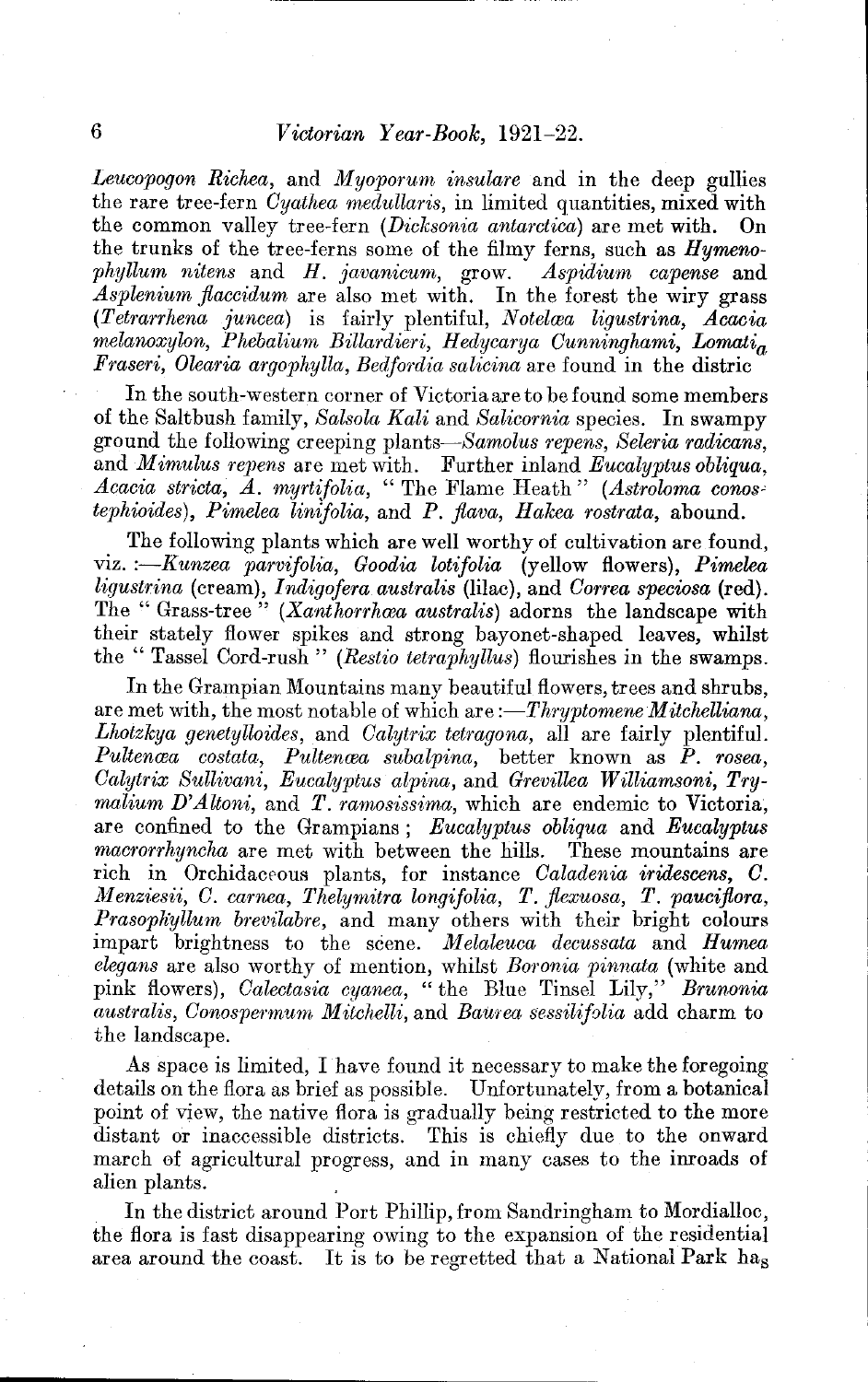*Leucopogon Richea,* and *Myoporum insulare* and in the deep gullies the rare tree-fern *Cyathea medullaris*, in limited quantities, mixed with the common valley tree-fern *(Dicksonia antarctica)* are met with. On the trunks of the tree-ferns some of the filmy ferns, such as *Hyrnenophyllum nitens* and *H. javanicum, grow. Aspidium capense* and *Asplenium flaccidum* are also met with. In the forest the wiry grass *(Tetrarrhena juncea)* is fairly plentiful, *Notelwa ligustrina, Acacia melanoxylon, Phebalium Billardieri, Hedycarya Cunninghami, Lornatia Fraseri, Olearia argophylla, Bedfordia salicina* are found in the distric

In the south-western corner of Victoria are to be found some members of the Saltbush family, *Salsola Kali* and *Salicornia* species. In swampy ground the following creeping *plants-Samolus repens, Seleria radicans,*  and *Mimulus repens* are met with. Further inland *Eucalyptus obliqua,*  Acacia stricta, A. myrtifolia, "The Flame Heath" *(Astroloma conostephioides)*, *Pimelea linifolia,* and *P. flava, Hakea rostrata,* abound.

The following plants which are well worthy of cultivation are found, viz. *:-Kunzea parvifolia, Goodia lotifolia* (yellow flowers), *Pimelea ligustrina* (cream), *Indigofera australis* (lilac), and *Correa speciosa* (red). The "Grass-tree" *(Xanthorrhoea australis)* adorns the landscape with their stately flower spikes and strong bayonet-shaped leaves, whilst the" Tassel Cord-rush" *(Restio tetraphyllus)* flourishes in the swamps.

In the Grampian Mountains many beautiful flowers, trees and shrubs, are met with, the most notable of which are :-*Thryptomene Mitchelliana*, *Lhotzkya genetylloides,* and *Calytrix tetragona,* all are fairly plentiful. *Pultenwa costata, Pultenwa subalpina,* better known as *P. rosea, Calytrix Sullivani, Eucalyptus alpina,* and *Grevillea Williamsoni, Tryrnalium D'Altoni,* and *T. ramosissima,* which are endemic to Victoria, are confined to the Grampians; *Eucalyptus obliqua* and *Eucalyptus macrorrhyncha* are met with between the hills. These mountains are rich in Orchidaceous plants, for instance *Caladenia iridescens*, C. *Menziesii, C. carnea, Thelymitra longifolia, T. flexuosa, T. pauciflora, Prasopliyllum brevilabre,* and many others with their bright colours impart brightness to the scene. *Melaleuca decussata* and *Humea elegans* are also worthy of mention, whilst *B01'onia pinnata* (white and pink flowers), *Calectasia cyanea,* "the Blue Tinsel Lily," *Brunonia australis, Conospermum Mitchelli, and Baurea sessilifolia add charm to* the landscape,

As space is limited, I have found it necessary to make the foregoing details on the flora as brief as possible. Unfortunately, from a botanical point of view, the native flora is gradually being restricted to the more distant or inaccessible districts. This is chiefly due to the onward march of agricultural progress, and in many cases to the inroads of alien plants.

In the district around Port Phillip, from Sandringham to Mordialloc, the flora is fast disappearing owing to the expansion of the residential area around the coast. It is to be regretted that a National Park has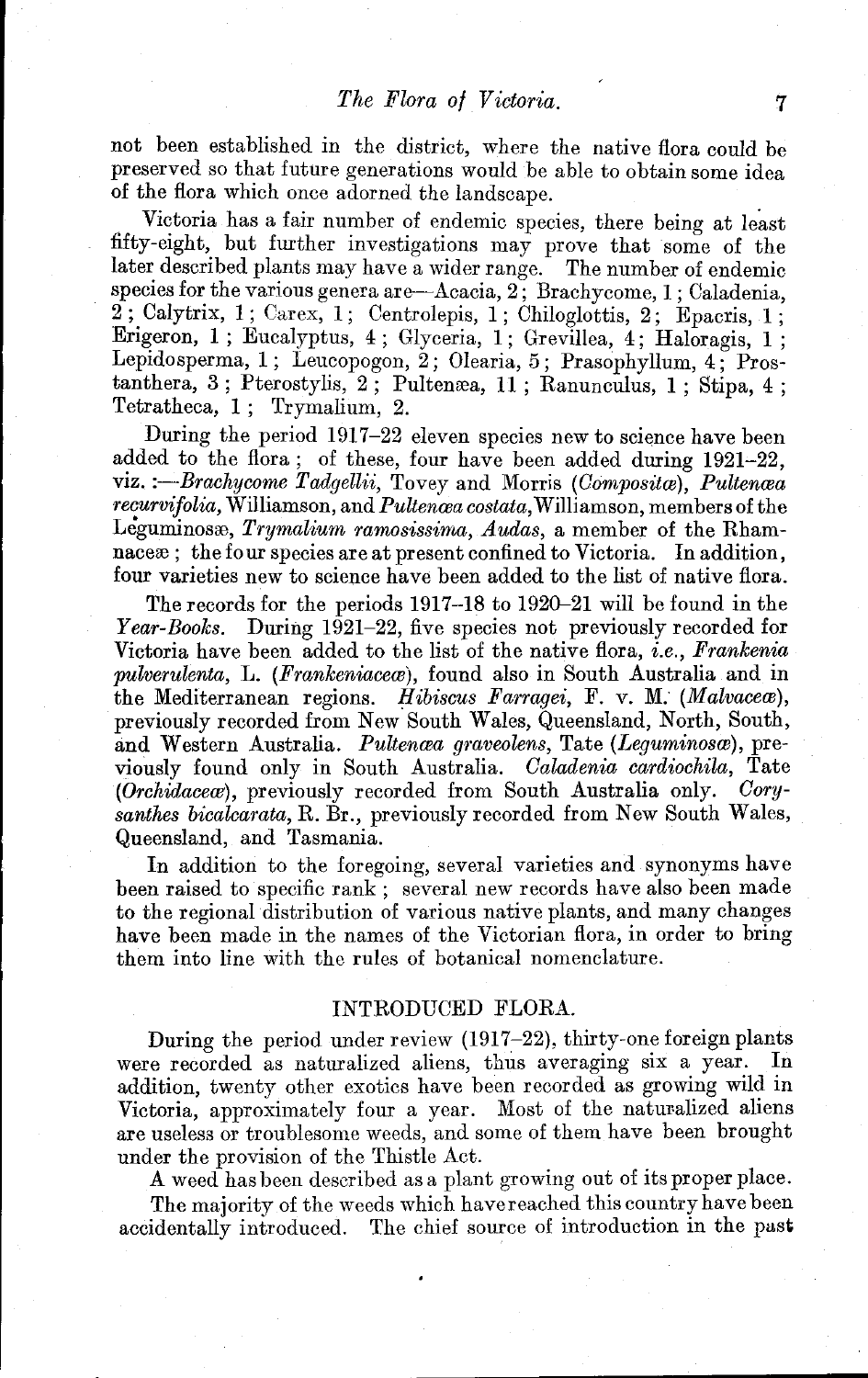not been established in the district, where the native flora could be preserved so that future generations would be able to obtain some idea of the flora which once adorned the landscape.

Victoria has a fair number of endemic species, there being at least fifty-eight, but further investigations may prove that some of the later described plants may have a wider range. The number of endemic later described plants may have a wider range. species for the various genera are-Acacia, 2; Brachycome, 1; Caladenia,  $2$ ; Calytrix, 1; Carex, 1; Centrolepis, 1; Chiloglottis, 2; Epacris, 1; Erigeron, 1; Eucalyptus, 4; Glyceria, 1; Grevillea, 4; Haloragis,  $1$ : Lepldosperma, 1; Leucopogon, 2; Olearia, 5; Prasophyllum, 4; Prostanthera, 3; Pterostylis, 2; Pultemea, 11 ; Ranunculus, 1 ; Stipa, 4 ; Tetratheca, 1; Trymalium, 2.

During the period 1917-22 eleven species new to science have been added to the flora; of these, four have been added during 1921-22, viz. *:*-Brachycome Tadgellii, Tovey and Morris *(Composita)*, Pultenaea *recurvifolia*, Williamson, and *Pultencea costata*, Williamson, members of the Leguminosa, *Trymalium ramosissima, Audas*, a member of the Rhamnaceae; the four species are at present confined to Victoria. In addition, four varieties new to science have been added to the list of native flora.

The records for the periods 1917-18 to 1920-21 will be found in the Year-Books. During 1921-22, five species not previously recorded for Victoria have been added to the list of the native flora, *i.e., Frankenia pulverulenta, L. (Frankeniaceæ),* found also in South Australia and in the Mediterranean regions. *Hibiscus Farragei,* F. v. M. *(Malvacero)*, previously recorded from New South Wales, Queensland, North, South, and Western Australia. *Pultencea graveolens*, Tate (Leguminosce), previously found only in South Australia. *Oaladenia cardiochila,* Tate (Orchidaceae), previously recorded from South Australia only. Coru*santhes bicalcarata,* R. Br., previously recorded from New South Wales, Queensland, and Tasmania.

In addition to the foregoing, several varieties and synonyms have been raised to specific rank; several new records have also been made to the regional distribution of various native plants, and many changes have been made in the names of the Victorian flora, in order to bring them into line with the rules of botanical nomenclature.

### INTRODUCED FLORA.

During the period under review (1917-22), thirty-one foreign plants were recorded as naturalized aliens, thus averaging six a year. In addition, twenty other exotics have been recorded as growing wild in Victoria, approximately four a year. Most of the naturalized aliens are useless or troublesome weeds, and some of them have been brought under the provision of the Thistle Act.

A weed has been described as a plant growing out of its proper place.

The majority of the weeds which have reached this country have been accidentally introduced. The chief source of introduction in the past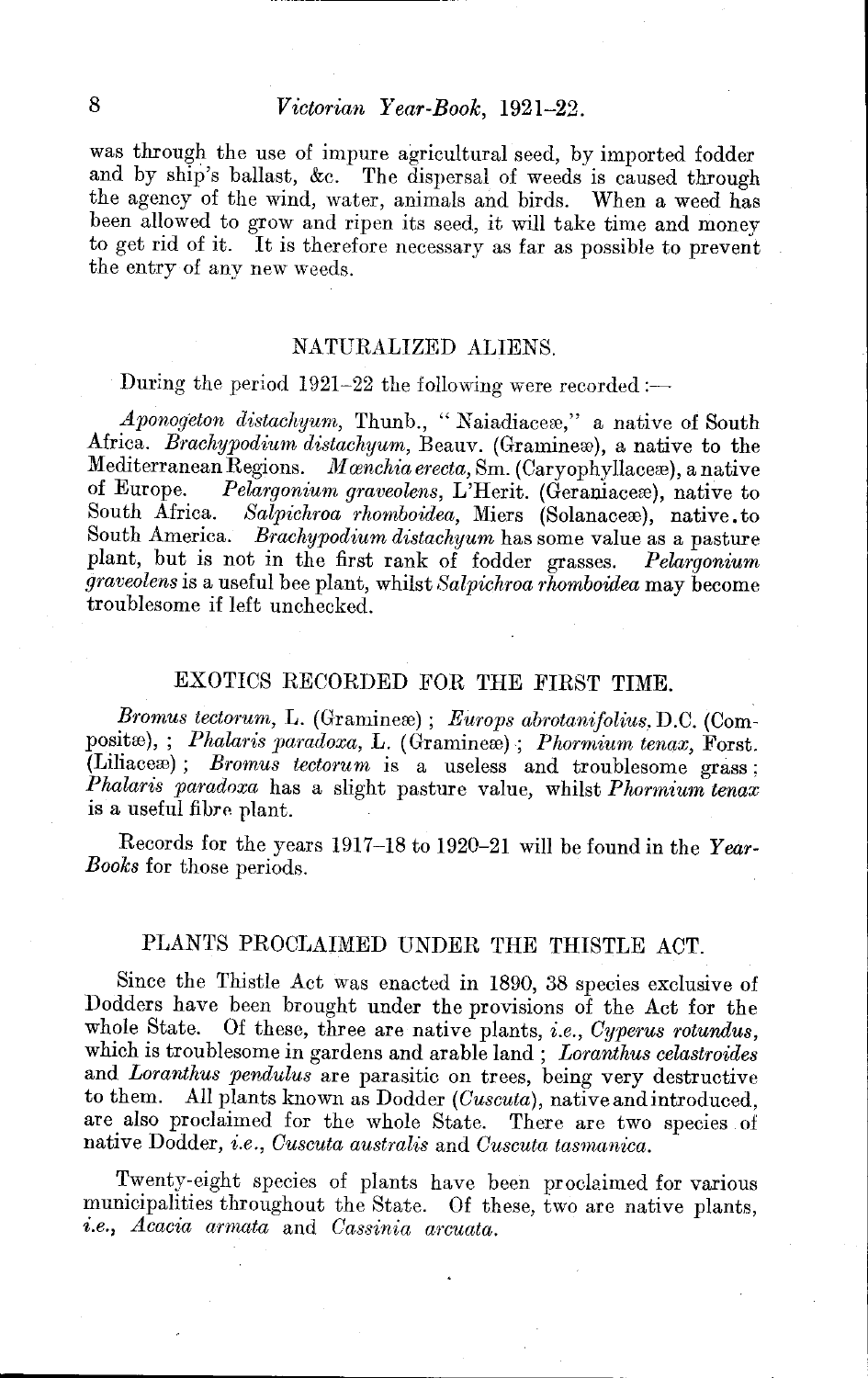## 8 *Victorian Year-Book, 1921-22.*

was through the use of impure agricultural seed, by imported fodder and by ship's ballast, &c. The dispersal of weeds is caused through the agency of the wind, water, animals and birds. When a weed has been allowed to grow and ripen its seed, it will take time and money to get rid of it. It is therefore necessary as far as possible to prevent the entry of any new weeds.

### NATURALIZED ALIENS.

During the period  $1921-22$  the following were recorded :-

*Aponogeton distachyum*, Thunb., "Naiadiace:e," a native of South Africa. *Brachypodium distachyum*, Beauv. (Graminex), a native to the Mediterranean Regions. *Manchia erecta*, Sm. (Caryophyllaceæ), a native<br>of Europe. *Pelargonium graveolens* L'Herit. (Geraniaceæ), native to of Europe. *Pelargonium graveolens,* L'Herit. (Geraniaceæ), native to South Africa. Salprichroa rhomboidea. Niers (Solanaceæ), native to Salpichroa rhomboidea, Miers (Solanacex), native.to South America. *Brachypodium distachyum* has some value as a pasture plant, but is not in the first rank of fodder grasses. *Pelargonium graveolens* is a useful bee plant, whilst *Salpichroa 1'homboidea* may become troublesome if left unchecked.

### EXOTICS RECORDED FOR THE FIRST TIME.

*Bromus tectorum, L.* (Gramineæ); *Europs abrotanifolius, D.C.* (Compositæ), ; *Phalaris paradoxa*, L. (Gramineæ) ; *Phormium tenax*, Forst.  $(Liliaceæ);$  *Bromus tectorum* is a useless and troublesome grass; *Phalaris paradoxa* has a slight pasture value, whilst *Phormium tenax*  is a useful fibre plant.

Records for the years 1917-18 to 1920-21 will be found in the *Year-Books* for those periods.

### PLANTS PROCLAIMED UNDER THE THISTLE ACT.

Since the Thistle Act was enacted in 1890, 38 species exclusive of Dodders have been brought under the provisions of the Act for the whole State. Of these, three are native plants, *i.e., Cyperus rotundus,*  which is troublesome in gardens and arable land; *Loranthus celastroides*  and *Loranthus pendulus* are parasitic on trees, being very destructive to them. All plants known as Dodder *(Cuscuta),* native and introduced, are also proclaimed for the whole State. There are two species of native Dodder, *i.e., Cuscuta australis* and *Cuscuta tasmanica.* 

Twenty-eight species of plants have been proclaimed for various municipalities throughout the State. Of these, two are native plants, *i.e., Acacia armata* and *Cassinia arcuata.*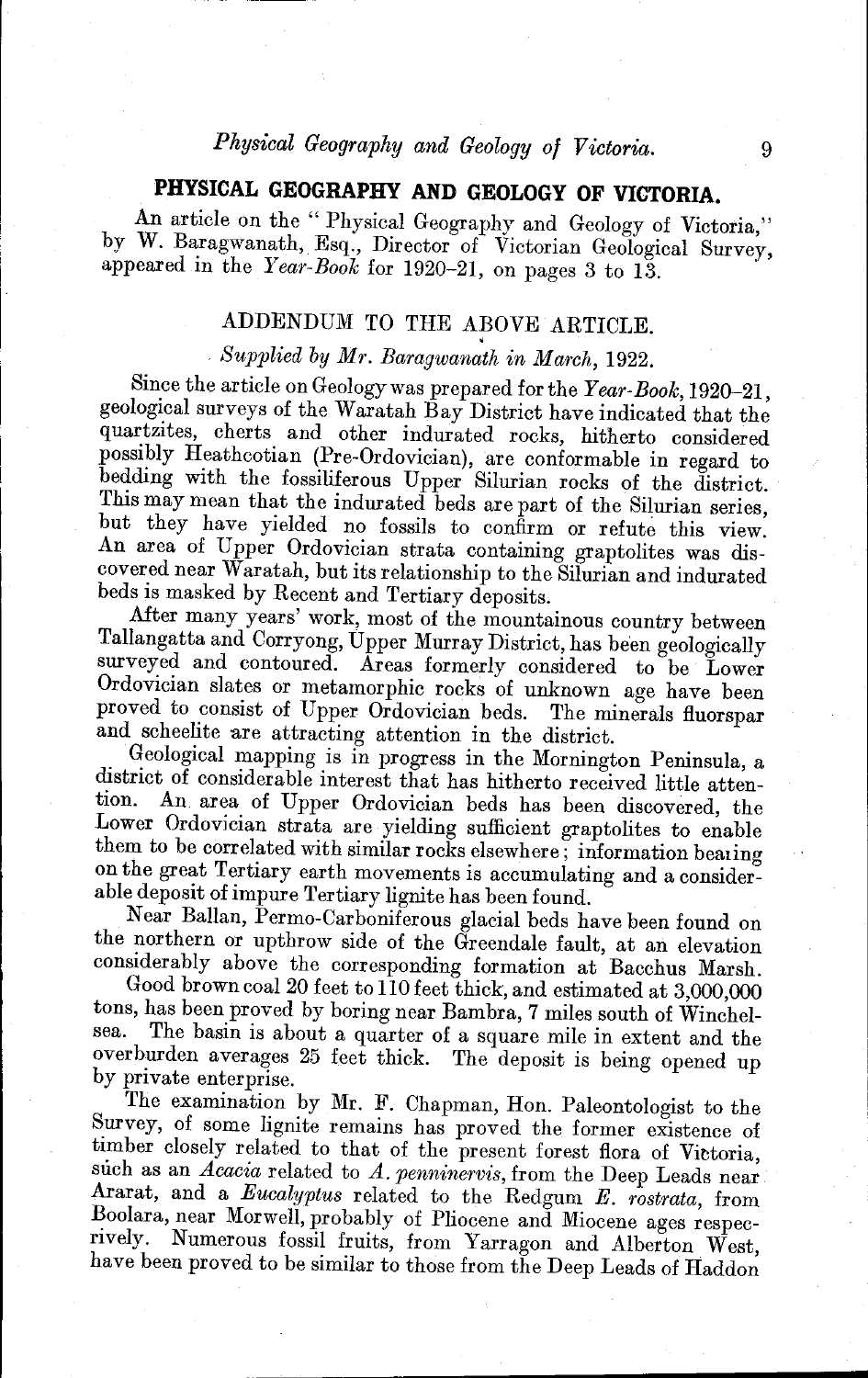# *Physical Geography and Geology of Victoria.* 9

# **PHYSICAL GEOGRAPHY AND GEOLOGY OF VICTORIA.**

An article on the "Physical Geography and Geology of Victoria," by W. Baragwanath, Esq., Director of Victorian Geological Survey, appeared in the *Year-Book* for 1920-21, on pages 3 to 13.

### ADDENDUM TO THE ABOVE ARTICLE.

*Supplied by Mr. Baragwanath in March, 1922.* 

Since the article on Geology was prepared for the *Year-Book*, 1920-21, geological surveys of the Waratah Bay District have indicated that the quartzites, cherts and other indurated rocks, hitherto considered possibly Heathcotian (Pre-Ordovician), are conformable in regard to bedding with the fossiliferous Upper Silurian rocks of the district. This may mean that the indurated beds are part of the Silurian series, but they have yielded no fossils to confirm or refute this view. An area of Upper Ordovician strata containing graptolites was discovered near Waratah, but its relationship to the Silurian and indurated beds is masked by Recent and Tertiary deposits.

After many years' work, most of the mountainous country between Tallangatta and Corryong, Upper Murray District, has been geologically surveyed and contoured. Areas formerly considered to be Lower Ordovician slates or metamorphic rocks of unknown age have been proved to consist of Upper Ordovician beds. The minerals fluorspar and scheelite are attracting attention in the district.

Geological mapping is in progress in the Mornington Peninsula, a district of considerable interest that has hitherto received little attention. An area of Unner Ordovician heds has been discovered the An area of Upper Ordovician beds has been discovered, the Lower Ordovician strata are yielding sufficient graptolites to enable them to be correlated with similar rocks elsewhere; information bearing on the great Tertiary earth movements is accumulating and a considerable deposit of impure Tertiary lignite has been found.

Near BalIan, Permo-Carboniferous glacial beds have been found on the northern or upthrow side of the Greendale fault, at an elevation considerably above the corresponding formation at Bacchus Marsh.

Good brown coal 20 feet to 110 feet thick, and estimated at 3,000,000 tons, has been proved by boring near Bambra, 7 miles south of Winchel-<br>sea. The basin is about a quarter of a square mile in extent and the The basin is about a quarter of a square mile in extent and the overburden averages 25 feet thick. The deposit is being opened up by private enterprise.

The examination by Mr. F. Chapman, Hon. Paleontologist to the Survey, of some lignite remains has proved the former existence of timber closely related to that of the present forest flora of Victoria, such as an *Acacia* related to *A. penninervis,* from the Deep Leads near Ararat, and a *Eucalyptus* related to the Redgum *E. rostrata,* from Boolara, near Morwell, probably of Pliocene and Miocene ages respecrively. Numerous fossil fruits, from Yarragon and Alberton West, have been proved to be similar to those from the Deep Leads of Haddon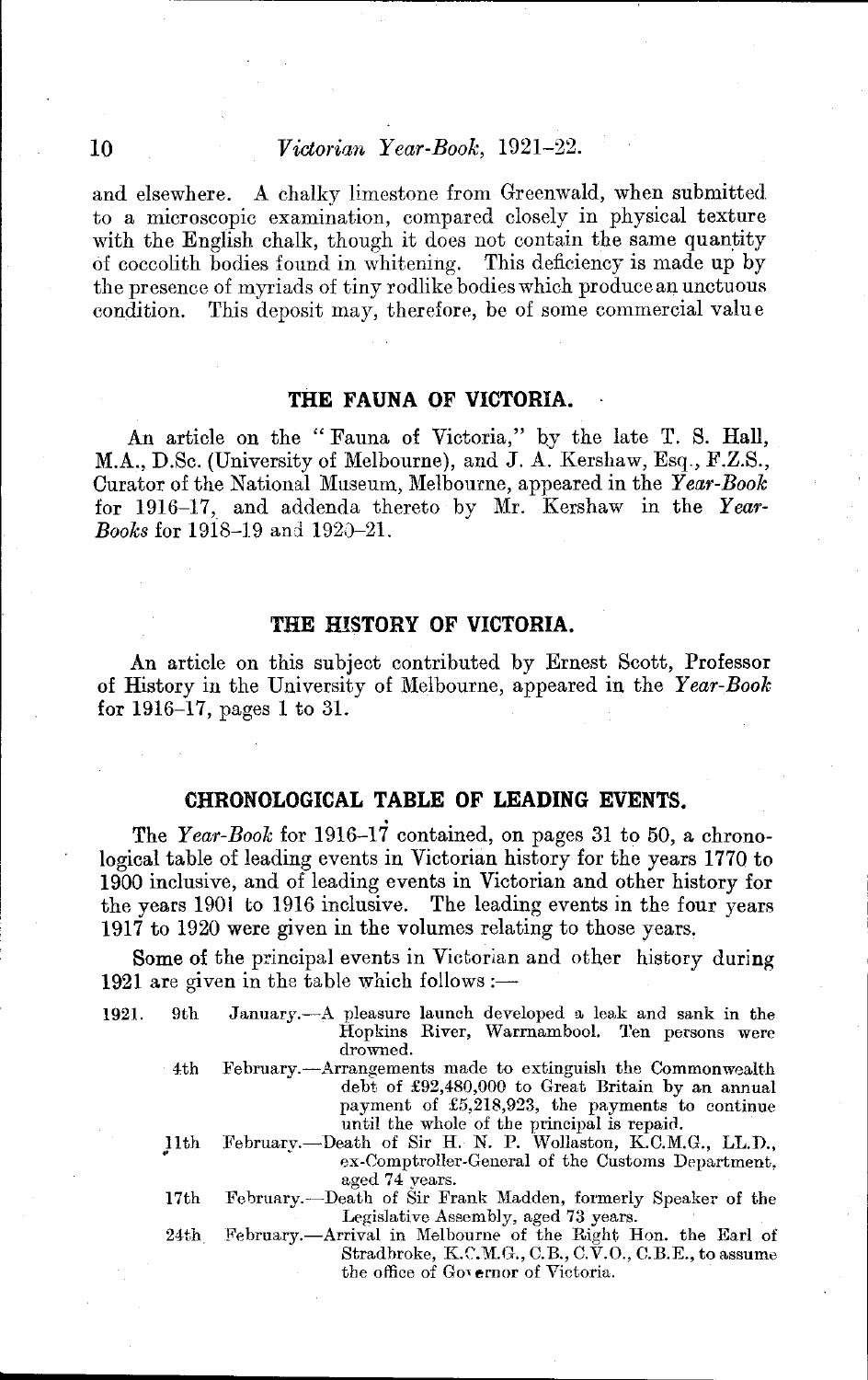and elsewhere. A chalky limestone from Greenwald, when submitted to a microscopic examination, compared closely in physical texture with the English chalk, though it does not contain the same quantity of coccolith bodies found in whitening. This deficiency is made up by the presence of myriads of tiny rodlike bodies which produce an unctuous condition. This deposit may, therefore, be of some commercial value

### **THE FAUNA OF VICTORIA.**

An article on the "Fauna of Victoria," hy the late T. S. Hall, M.A., D.Sc. (University of Melbourne), and J. A. Kershaw, Esq., F.Z.S., Curator of the National Museum, Melbourne, appeared in the *Year-Book*  for 1916-17, and addenda thereto by Mr. Kershaw in the Year-*Books* for 1918-19 and 1920-21.

### **THE HISTORY OF VICTORIA.**

An article on this subject contributed by Ernest Scott, Professor of History in the University of Melbourne, appeared in the *Year-Book*  for 1916-17, pages 1 to 31.

### **CHRONOLOGICAL TABLE OF LEADING EVENTS.**

The *Year-Book* for 1916-17 contained, on pages 31 to 50, a chronological table of leading events in Victorian history for the years 1770 to 1900 inclusive, and of leading events in Victorian and other history for the years 1901 to 1916 inclusive. The leading events in the four years 1917 to 1920 were given in the volumes relating to those years,

Some of the principal events in Victorian and other history during 1921 are given in the table which follows :—

| 1921. | 9th  | January.—A pleasure launch developed a leak and sank in the<br>Hopkins River, Warrnambool. Ten persons were<br>drowned.                                                                                           |
|-------|------|-------------------------------------------------------------------------------------------------------------------------------------------------------------------------------------------------------------------|
|       | 4th  | February.—Arrangements made to extinguish the Commonwealth<br>debt of £92,480,000 to Great Britain by an annual<br>payment of £5,218,923, the payments to continue<br>until the whole of the principal is repaid. |
|       | 11th | February.--Death of Sir H. N. P. Wollaston, K.C.M.G., LL.D.,<br>ex-Comptroller-General of the Customs Department.<br>aged 74 years.                                                                               |
|       | 17th | February.—Death of Sir Frank Madden, formerly Speaker of the<br>Legislative Assembly, aged 73 years.                                                                                                              |
|       |      | 24th February.—Arrival in Melbourne of the Right Hon. the Earl of<br>Stradbroke, K.C.M.G., C.B., C.V.O., C.B.E., to assume<br>the office of Governor of Victoria.                                                 |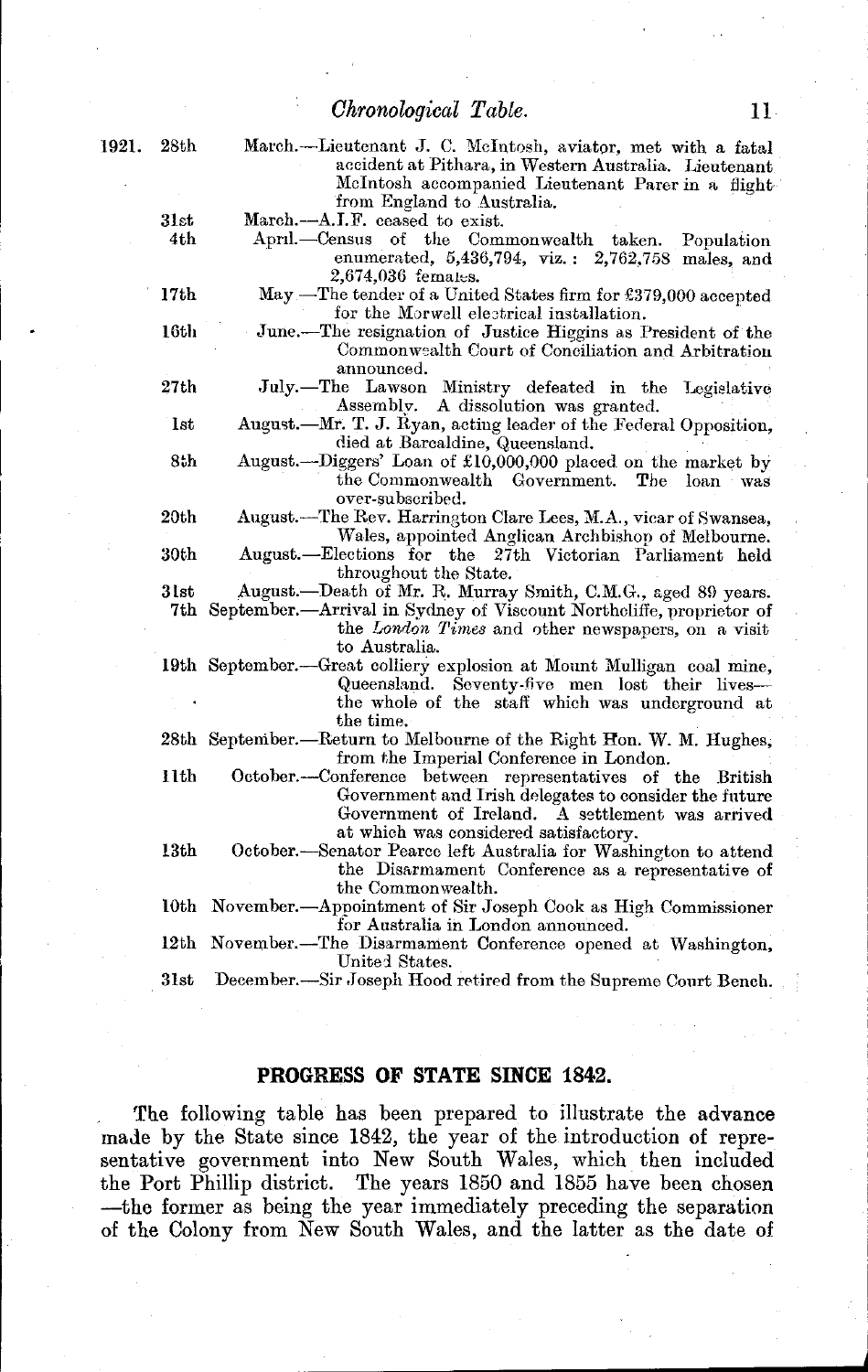### *Chronological Table.* 11

| 1921. | 28th             | March.---Lieutenant J. C. McIntosh, aviator, met with a fatal           |
|-------|------------------|-------------------------------------------------------------------------|
|       |                  | accident at Pithara, in Western Australia. Lieutenant                   |
|       |                  | McIntosh accompanied Lieutenant Parer in a flight-                      |
|       |                  | from England to Australia.                                              |
|       | 31st             | March.-A.I.F. ceased to exist.                                          |
|       | 4th              | April.—Census of the Commonwealth taken.<br>Population                  |
|       |                  | enumerated, 5,436,794, viz.: 2,762,758 males, and                       |
|       |                  | 2,674,036 females.                                                      |
|       | 17 <sub>th</sub> | May —The tender of a United States firm for £379,000 accepted           |
|       |                  | for the Morwell electrical installation.                                |
|       | 16th             | June.—The resignation of Justice Higgins as President of the            |
|       |                  | Commonwealth Court of Conciliation and Arbitration                      |
|       |                  | announced.                                                              |
|       | 27th             | July.-The Lawson Ministry defeated in the Legislative                   |
|       |                  | Assembly. A dissolution was granted.                                    |
|       | <b>lst</b>       | August.—Mr. T. J. Ryan, acting leader of the Federal Opposition,        |
|       |                  | died at Barcaldine, Queensland.                                         |
|       | 8th              |                                                                         |
|       |                  | August.—Diggers' Loan of £10,000,000 placed on the market by            |
|       |                  | the Commonwealth Government. The loan was                               |
|       |                  | over-subscribed.                                                        |
|       | 20th             | August.—The Rev. Harrington Clare Lees, M.A., vicar of Swansea,         |
|       |                  | Wales, appointed Anglican Archbishop of Melbourne.                      |
|       | 30th             | August.—Elections for the 27th Victorian Parliament held                |
|       |                  | throughout the State.                                                   |
|       | $31\mathrm{st}$  | August.--Death of Mr. R. Murray Smith, C.M.G., aged 89 years.           |
|       |                  | 7th September.—Arrival in Sydney of Viscount Northcliffe, proprietor of |
|       |                  | the London Times and other newspapers, on a visit                       |
|       |                  | to Australia.                                                           |
|       |                  | 19th September.—Great colliery explosion at Mount Mulligan coal mine,   |
|       |                  | Queensland. Seventy-five men lost their lives-                          |
|       |                  | the whole of the staff which was underground at                         |
|       |                  | the time.                                                               |
|       |                  | 28th September.—Return to Melbourne of the Right Hon. W. M. Hughes,     |
|       |                  | from the Imperial Conference in London.                                 |
|       | 11th             | October.---Conference between representatives of the British            |
|       |                  | Government and Irish delegates to consider the future                   |
|       |                  | Government of Ireland. A settlement was arrived                         |
|       |                  | at which was considered satisfactory.                                   |
|       | 13th             | October.—Senator Pearce left Australia for Washington to attend         |
|       |                  | the Disarmament Conference as a representative of                       |
|       |                  | the Commonwealth.                                                       |
|       |                  | 10th November.—Appointment of Sir Joseph Cook as High Commissioner      |
|       |                  | for Australia in London announced.                                      |
|       | 12th             | November.--The Disarmament Conference opened at Washington,             |
|       |                  | United States.                                                          |
|       | 31st             | December.-Sir Joseph Hood retired from the Supreme Court Bench.         |

### **PROGRESS OF STATE SINCE 1842.**

The following table has been prepared to illustrate the advance maJe by the State since 1842, the year of the introduction of representative government into New South Wales, which then included the Port Phillip district. The years 1850 and 1855 have been chosen -the former as being the year immediately preceding the separation of the Colony from New South Wales, and the latter as the date of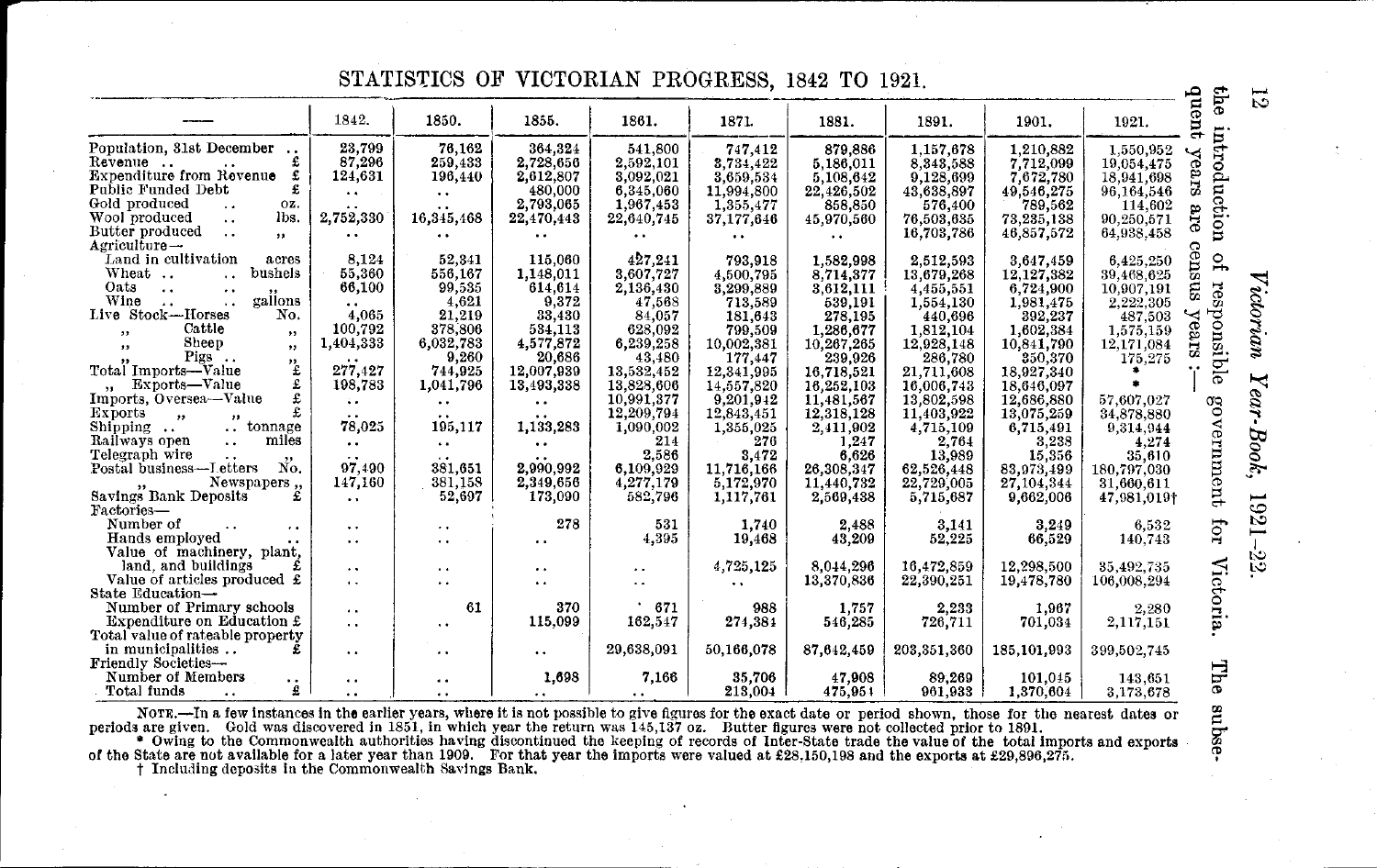# STATISTICS OF VICTORIAN PROGRESS, 1842 TO 1921.

| 1842.<br>1850.<br>1855.<br>1861.<br>1871.<br>1891.<br>1881.<br>1901.<br>1921.<br>⊶<br>ntroduction<br>23,799<br>76,162<br>364.324<br>541.800<br>747.412<br>879.886<br>1.157.678<br>1.210.882<br>1.550,952<br>years<br>87,296<br>£<br>Revenue<br>259,433<br>2,728,656<br>2,592,101<br>3,734,422<br>8,343,588<br>7,712,099<br>5,186,011<br>19,054,475<br>Expenditure from Revenue<br>£<br>124,631<br>196,440<br>2,612,807<br>3,092,021<br>3,659,534<br>7,672,780<br>5,108,642<br>9,128,699<br>18,941,698<br>Public Funded Debt<br>£<br>480,000<br>6,345,060<br>11,994,800<br>22,426,502<br>43,638,897<br>49,546,275<br>96,164,546<br>$\ddot{\phantom{1}}$<br>$\ddot{\phantom{a}}$<br>Gold produced<br>2,793,065<br>1,967,453<br>789,562<br>1.355.477<br>576.400<br>oz.<br>858,850<br>114,602<br>$\ddot{\phantom{0}}$<br>are<br>Wool produced<br>lbs.<br>2,752,330<br>16,345,468<br>22,470,443<br>22,640,745<br>37,177,646<br>76,503,635<br>73,235,138<br>45,970,560<br>90.250.571<br>$\ddot{\phantom{a}}$<br>Butter produced<br>16,703,786<br>46,857,572<br>64,938,458<br>$\ddot{\phantom{a}}$<br>$\ddot{\phantom{a}}$<br>5.5<br>$\ddot{\bullet}$<br>. .<br>$\cdot$ .<br><br>Agriculture-<br>$\overline{1}$<br>$\sin s$<br>Land in cultivation<br>8,124<br>52,341<br>427.241<br>115,060<br>acres<br>793,918<br>1,582,998<br>2,512,593<br>3,647,459<br>6,425,250<br>Wheat<br>bushels<br>55,360<br>556,167<br>1,148,011<br>3.607.727<br>4,500,795<br>8.714.377<br>13,679.268<br>12, 127, 382<br>39,468.625<br>$\ddot{\phantom{0}}$<br>res<br>SË.<br>Oats<br>66,100<br>99,535<br>614.614<br>2,136,430<br>3,299,889<br>3.612.111<br>6,724,900<br>10,907,191<br>4,455,551<br>$\ddotsc$<br>$\ddot{\phantom{0}}$<br>Wine<br>gallons<br>9,372<br>4,621<br>47.568<br>539.191<br>2,222,305<br>713,589<br>1,981,475<br>1,554,130<br>$\ddot{\phantom{a}}$<br>$\ddotsc$<br>aponsible<br>years<br>Live Stock-Horses<br>No.<br>4.065<br>21,219<br>33,430<br>84,057<br>392,237<br>181,643<br>278,195<br>440,696<br>487,503<br>Cattle<br>100,792<br>378,806<br>534,113<br>628.092<br>799,509<br>1.286.677<br>1,812,104<br>1,602,384<br>1,575,159<br>$\bullet$<br>,,<br>Sheep<br>6,032,783<br>1,404,333<br>4,577,872<br>6,239,258<br>10,002,381<br>10,267,265<br>12,928,148<br>10,841,790<br>12,171,084<br>$, \,$<br>$, \,$<br>Pigs<br>9,260<br>20.686<br>43,480<br>177,447<br>239,926<br>286,780<br>350,370<br>175,275<br>٠,<br>277,427<br>Total Imports-Value<br>744.925<br>12,007,939<br>13,532,452<br>12, 341, 995<br>16.718.521<br>21,711,608<br>18.927.340<br>£<br>Exports-Value<br>198,783<br>1,041,796<br>13,493,338<br>13,828,606<br>16,252,103<br>14.557.820<br>16,006,743<br>18.646.097<br>£<br>Imports, Oversea-Value<br>10,991,377<br>9,201,942<br>12,686,880<br>13,802,598<br>11,481,567<br>57.607.027<br>government<br>$\ddot{\bullet}$<br>$\ddot{\phantom{1}}$<br>$\bullet$ $\bullet$<br>£<br>Exports<br>12,209,794<br>12,843,451<br>11,403,922<br>12,318,128<br>13,075,259<br>34,878,880<br>$\overline{\mathbf{z}}$<br>$^{\bullet}$<br>78,025<br>Shipping<br>195,117<br>1,133,283<br>tonnage<br>1,090,002<br>4,715,109<br>6,715,491<br>1,355,025<br>2,411,902<br>9,314,944<br>miles<br>Railways open<br>214<br>276<br>3,238<br>1,247<br>2,764<br>4,274<br>$\ddotsc$<br>$\ddot{\phantom{a}}$<br>$\ddot{\phantom{a}}$<br>$\ddot{\phantom{0}}$<br>2.586<br>Telegraph wire<br>3.472<br>6,626<br>15,356<br>35.610<br>13,989<br>$\ddot{\phantom{0}}$<br>Postal business-Ietters<br>97.490<br>2,990,992<br>No.<br>381.651<br>6,109,929<br>26.308.347<br>11,716,166<br>62,526,448<br>83,973,499<br>180,797,030<br>4,277,179<br>Newspapers,<br>381,158<br>2,349,656<br>147,160<br>22,729,005<br>27, 104, 344<br>5,172,970<br>11,440,732<br>31.660.611<br>Savings Bank Deposits<br>52,697<br>173,090<br>582,796<br>1,117,761<br>2,569,438<br>5,715,687<br>9,662,006<br>47,981,019†<br>$\cdot$ .<br>278<br>Number of<br>531<br>for<br>2.488<br>1.740<br>3,141<br>3.249<br>6,532<br>$\ddotsc$<br>$\ddot{\phantom{a}}$<br>$\cdot$ $\cdot$<br>Hands employed<br>4.395<br>43,209<br>52,225<br>19,468<br>66,529<br>140.743<br>$\cdot$ $\cdot$<br>$\ddot{\phantom{0}}$<br>$\cdot$ .<br>Value of machinery, plant,<br>Victoria<br>land, and buildings<br>4,725,125<br>8,044,296<br>16,472,859<br>12,298,500<br>35,492,735<br>$\cdot$ .<br>$\ddot{\phantom{1}}$<br>. .<br>Value of articles produced £<br>13,370,836<br>22,390,251<br>19,478,780<br>106,008.294<br>$\ddot{\phantom{a}}$<br>$\ddot{\phantom{a}}$<br>$\ddot{\phantom{a}}$<br>$\cdot$ .<br>Number of Primary schools<br>61<br>671<br>370<br>988<br>2,233<br>1.757<br>1.967<br>2,280<br>$\ddot{\phantom{a}}$<br>Expenditure on Education £<br>162,547<br>115,099<br>274,384<br>546,285<br>2,117,151<br>726,711<br>701.034<br>$\ddot{\phantom{a}}$<br>$\ddot{\phantom{1}}$<br>Total value of rateable property<br>in municipalities<br>29,638,091<br>50,166,078<br>87,642,459<br>203, 351, 360<br>185, 101, 993<br>399,502,745<br>$\ddot{\phantom{a}}$<br>$\ddot{\phantom{a}}$<br>. .<br>The |                           |  |       |       |        |        |        |         |         | Ρé     |
|----------------------------------------------------------------------------------------------------------------------------------------------------------------------------------------------------------------------------------------------------------------------------------------------------------------------------------------------------------------------------------------------------------------------------------------------------------------------------------------------------------------------------------------------------------------------------------------------------------------------------------------------------------------------------------------------------------------------------------------------------------------------------------------------------------------------------------------------------------------------------------------------------------------------------------------------------------------------------------------------------------------------------------------------------------------------------------------------------------------------------------------------------------------------------------------------------------------------------------------------------------------------------------------------------------------------------------------------------------------------------------------------------------------------------------------------------------------------------------------------------------------------------------------------------------------------------------------------------------------------------------------------------------------------------------------------------------------------------------------------------------------------------------------------------------------------------------------------------------------------------------------------------------------------------------------------------------------------------------------------------------------------------------------------------------------------------------------------------------------------------------------------------------------------------------------------------------------------------------------------------------------------------------------------------------------------------------------------------------------------------------------------------------------------------------------------------------------------------------------------------------------------------------------------------------------------------------------------------------------------------------------------------------------------------------------------------------------------------------------------------------------------------------------------------------------------------------------------------------------------------------------------------------------------------------------------------------------------------------------------------------------------------------------------------------------------------------------------------------------------------------------------------------------------------------------------------------------------------------------------------------------------------------------------------------------------------------------------------------------------------------------------------------------------------------------------------------------------------------------------------------------------------------------------------------------------------------------------------------------------------------------------------------------------------------------------------------------------------------------------------------------------------------------------------------------------------------------------------------------------------------------------------------------------------------------------------------------------------------------------------------------------------------------------------------------------------------------------------------------------------------------------------------------------------------------------------------------------------------------------------------------------------------------------------------------------------------------------------------------------------------------------------------------------------------------------------------------------------------------------------------------------------------------------------------------------------------------------------------------------------------------------------------------------------------------------------------------------------------------------------------------------------------------------------------------------------------------------------------------------------------------------------------------------------------------------------------------------------------------------------------------------------------|---------------------------|--|-------|-------|--------|--------|--------|---------|---------|--------|
|                                                                                                                                                                                                                                                                                                                                                                                                                                                                                                                                                                                                                                                                                                                                                                                                                                                                                                                                                                                                                                                                                                                                                                                                                                                                                                                                                                                                                                                                                                                                                                                                                                                                                                                                                                                                                                                                                                                                                                                                                                                                                                                                                                                                                                                                                                                                                                                                                                                                                                                                                                                                                                                                                                                                                                                                                                                                                                                                                                                                                                                                                                                                                                                                                                                                                                                                                                                                                                                                                                                                                                                                                                                                                                                                                                                                                                                                                                                                                                                                                                                                                                                                                                                                                                                                                                                                                                                                                                                                                                                                                                                                                                                                                                                                                                                                                                                                                                                                                                                                                                  |                           |  |       |       |        |        |        |         |         | $u$ en |
|                                                                                                                                                                                                                                                                                                                                                                                                                                                                                                                                                                                                                                                                                                                                                                                                                                                                                                                                                                                                                                                                                                                                                                                                                                                                                                                                                                                                                                                                                                                                                                                                                                                                                                                                                                                                                                                                                                                                                                                                                                                                                                                                                                                                                                                                                                                                                                                                                                                                                                                                                                                                                                                                                                                                                                                                                                                                                                                                                                                                                                                                                                                                                                                                                                                                                                                                                                                                                                                                                                                                                                                                                                                                                                                                                                                                                                                                                                                                                                                                                                                                                                                                                                                                                                                                                                                                                                                                                                                                                                                                                                                                                                                                                                                                                                                                                                                                                                                                                                                                                                  | Population, 31st December |  |       |       |        |        |        |         |         |        |
|                                                                                                                                                                                                                                                                                                                                                                                                                                                                                                                                                                                                                                                                                                                                                                                                                                                                                                                                                                                                                                                                                                                                                                                                                                                                                                                                                                                                                                                                                                                                                                                                                                                                                                                                                                                                                                                                                                                                                                                                                                                                                                                                                                                                                                                                                                                                                                                                                                                                                                                                                                                                                                                                                                                                                                                                                                                                                                                                                                                                                                                                                                                                                                                                                                                                                                                                                                                                                                                                                                                                                                                                                                                                                                                                                                                                                                                                                                                                                                                                                                                                                                                                                                                                                                                                                                                                                                                                                                                                                                                                                                                                                                                                                                                                                                                                                                                                                                                                                                                                                                  |                           |  |       |       |        |        |        |         |         |        |
|                                                                                                                                                                                                                                                                                                                                                                                                                                                                                                                                                                                                                                                                                                                                                                                                                                                                                                                                                                                                                                                                                                                                                                                                                                                                                                                                                                                                                                                                                                                                                                                                                                                                                                                                                                                                                                                                                                                                                                                                                                                                                                                                                                                                                                                                                                                                                                                                                                                                                                                                                                                                                                                                                                                                                                                                                                                                                                                                                                                                                                                                                                                                                                                                                                                                                                                                                                                                                                                                                                                                                                                                                                                                                                                                                                                                                                                                                                                                                                                                                                                                                                                                                                                                                                                                                                                                                                                                                                                                                                                                                                                                                                                                                                                                                                                                                                                                                                                                                                                                                                  |                           |  |       |       |        |        |        |         |         |        |
|                                                                                                                                                                                                                                                                                                                                                                                                                                                                                                                                                                                                                                                                                                                                                                                                                                                                                                                                                                                                                                                                                                                                                                                                                                                                                                                                                                                                                                                                                                                                                                                                                                                                                                                                                                                                                                                                                                                                                                                                                                                                                                                                                                                                                                                                                                                                                                                                                                                                                                                                                                                                                                                                                                                                                                                                                                                                                                                                                                                                                                                                                                                                                                                                                                                                                                                                                                                                                                                                                                                                                                                                                                                                                                                                                                                                                                                                                                                                                                                                                                                                                                                                                                                                                                                                                                                                                                                                                                                                                                                                                                                                                                                                                                                                                                                                                                                                                                                                                                                                                                  |                           |  |       |       |        |        |        |         |         |        |
|                                                                                                                                                                                                                                                                                                                                                                                                                                                                                                                                                                                                                                                                                                                                                                                                                                                                                                                                                                                                                                                                                                                                                                                                                                                                                                                                                                                                                                                                                                                                                                                                                                                                                                                                                                                                                                                                                                                                                                                                                                                                                                                                                                                                                                                                                                                                                                                                                                                                                                                                                                                                                                                                                                                                                                                                                                                                                                                                                                                                                                                                                                                                                                                                                                                                                                                                                                                                                                                                                                                                                                                                                                                                                                                                                                                                                                                                                                                                                                                                                                                                                                                                                                                                                                                                                                                                                                                                                                                                                                                                                                                                                                                                                                                                                                                                                                                                                                                                                                                                                                  |                           |  |       |       |        |        |        |         |         |        |
|                                                                                                                                                                                                                                                                                                                                                                                                                                                                                                                                                                                                                                                                                                                                                                                                                                                                                                                                                                                                                                                                                                                                                                                                                                                                                                                                                                                                                                                                                                                                                                                                                                                                                                                                                                                                                                                                                                                                                                                                                                                                                                                                                                                                                                                                                                                                                                                                                                                                                                                                                                                                                                                                                                                                                                                                                                                                                                                                                                                                                                                                                                                                                                                                                                                                                                                                                                                                                                                                                                                                                                                                                                                                                                                                                                                                                                                                                                                                                                                                                                                                                                                                                                                                                                                                                                                                                                                                                                                                                                                                                                                                                                                                                                                                                                                                                                                                                                                                                                                                                                  |                           |  |       |       |        |        |        |         |         |        |
|                                                                                                                                                                                                                                                                                                                                                                                                                                                                                                                                                                                                                                                                                                                                                                                                                                                                                                                                                                                                                                                                                                                                                                                                                                                                                                                                                                                                                                                                                                                                                                                                                                                                                                                                                                                                                                                                                                                                                                                                                                                                                                                                                                                                                                                                                                                                                                                                                                                                                                                                                                                                                                                                                                                                                                                                                                                                                                                                                                                                                                                                                                                                                                                                                                                                                                                                                                                                                                                                                                                                                                                                                                                                                                                                                                                                                                                                                                                                                                                                                                                                                                                                                                                                                                                                                                                                                                                                                                                                                                                                                                                                                                                                                                                                                                                                                                                                                                                                                                                                                                  |                           |  |       |       |        |        |        |         |         |        |
|                                                                                                                                                                                                                                                                                                                                                                                                                                                                                                                                                                                                                                                                                                                                                                                                                                                                                                                                                                                                                                                                                                                                                                                                                                                                                                                                                                                                                                                                                                                                                                                                                                                                                                                                                                                                                                                                                                                                                                                                                                                                                                                                                                                                                                                                                                                                                                                                                                                                                                                                                                                                                                                                                                                                                                                                                                                                                                                                                                                                                                                                                                                                                                                                                                                                                                                                                                                                                                                                                                                                                                                                                                                                                                                                                                                                                                                                                                                                                                                                                                                                                                                                                                                                                                                                                                                                                                                                                                                                                                                                                                                                                                                                                                                                                                                                                                                                                                                                                                                                                                  |                           |  |       |       |        |        |        |         |         |        |
|                                                                                                                                                                                                                                                                                                                                                                                                                                                                                                                                                                                                                                                                                                                                                                                                                                                                                                                                                                                                                                                                                                                                                                                                                                                                                                                                                                                                                                                                                                                                                                                                                                                                                                                                                                                                                                                                                                                                                                                                                                                                                                                                                                                                                                                                                                                                                                                                                                                                                                                                                                                                                                                                                                                                                                                                                                                                                                                                                                                                                                                                                                                                                                                                                                                                                                                                                                                                                                                                                                                                                                                                                                                                                                                                                                                                                                                                                                                                                                                                                                                                                                                                                                                                                                                                                                                                                                                                                                                                                                                                                                                                                                                                                                                                                                                                                                                                                                                                                                                                                                  |                           |  |       |       |        |        |        |         |         |        |
|                                                                                                                                                                                                                                                                                                                                                                                                                                                                                                                                                                                                                                                                                                                                                                                                                                                                                                                                                                                                                                                                                                                                                                                                                                                                                                                                                                                                                                                                                                                                                                                                                                                                                                                                                                                                                                                                                                                                                                                                                                                                                                                                                                                                                                                                                                                                                                                                                                                                                                                                                                                                                                                                                                                                                                                                                                                                                                                                                                                                                                                                                                                                                                                                                                                                                                                                                                                                                                                                                                                                                                                                                                                                                                                                                                                                                                                                                                                                                                                                                                                                                                                                                                                                                                                                                                                                                                                                                                                                                                                                                                                                                                                                                                                                                                                                                                                                                                                                                                                                                                  |                           |  |       |       |        |        |        |         |         |        |
|                                                                                                                                                                                                                                                                                                                                                                                                                                                                                                                                                                                                                                                                                                                                                                                                                                                                                                                                                                                                                                                                                                                                                                                                                                                                                                                                                                                                                                                                                                                                                                                                                                                                                                                                                                                                                                                                                                                                                                                                                                                                                                                                                                                                                                                                                                                                                                                                                                                                                                                                                                                                                                                                                                                                                                                                                                                                                                                                                                                                                                                                                                                                                                                                                                                                                                                                                                                                                                                                                                                                                                                                                                                                                                                                                                                                                                                                                                                                                                                                                                                                                                                                                                                                                                                                                                                                                                                                                                                                                                                                                                                                                                                                                                                                                                                                                                                                                                                                                                                                                                  |                           |  |       |       |        |        |        |         |         |        |
|                                                                                                                                                                                                                                                                                                                                                                                                                                                                                                                                                                                                                                                                                                                                                                                                                                                                                                                                                                                                                                                                                                                                                                                                                                                                                                                                                                                                                                                                                                                                                                                                                                                                                                                                                                                                                                                                                                                                                                                                                                                                                                                                                                                                                                                                                                                                                                                                                                                                                                                                                                                                                                                                                                                                                                                                                                                                                                                                                                                                                                                                                                                                                                                                                                                                                                                                                                                                                                                                                                                                                                                                                                                                                                                                                                                                                                                                                                                                                                                                                                                                                                                                                                                                                                                                                                                                                                                                                                                                                                                                                                                                                                                                                                                                                                                                                                                                                                                                                                                                                                  |                           |  |       |       |        |        |        |         |         |        |
|                                                                                                                                                                                                                                                                                                                                                                                                                                                                                                                                                                                                                                                                                                                                                                                                                                                                                                                                                                                                                                                                                                                                                                                                                                                                                                                                                                                                                                                                                                                                                                                                                                                                                                                                                                                                                                                                                                                                                                                                                                                                                                                                                                                                                                                                                                                                                                                                                                                                                                                                                                                                                                                                                                                                                                                                                                                                                                                                                                                                                                                                                                                                                                                                                                                                                                                                                                                                                                                                                                                                                                                                                                                                                                                                                                                                                                                                                                                                                                                                                                                                                                                                                                                                                                                                                                                                                                                                                                                                                                                                                                                                                                                                                                                                                                                                                                                                                                                                                                                                                                  |                           |  |       |       |        |        |        |         |         |        |
|                                                                                                                                                                                                                                                                                                                                                                                                                                                                                                                                                                                                                                                                                                                                                                                                                                                                                                                                                                                                                                                                                                                                                                                                                                                                                                                                                                                                                                                                                                                                                                                                                                                                                                                                                                                                                                                                                                                                                                                                                                                                                                                                                                                                                                                                                                                                                                                                                                                                                                                                                                                                                                                                                                                                                                                                                                                                                                                                                                                                                                                                                                                                                                                                                                                                                                                                                                                                                                                                                                                                                                                                                                                                                                                                                                                                                                                                                                                                                                                                                                                                                                                                                                                                                                                                                                                                                                                                                                                                                                                                                                                                                                                                                                                                                                                                                                                                                                                                                                                                                                  |                           |  |       |       |        |        |        |         |         |        |
|                                                                                                                                                                                                                                                                                                                                                                                                                                                                                                                                                                                                                                                                                                                                                                                                                                                                                                                                                                                                                                                                                                                                                                                                                                                                                                                                                                                                                                                                                                                                                                                                                                                                                                                                                                                                                                                                                                                                                                                                                                                                                                                                                                                                                                                                                                                                                                                                                                                                                                                                                                                                                                                                                                                                                                                                                                                                                                                                                                                                                                                                                                                                                                                                                                                                                                                                                                                                                                                                                                                                                                                                                                                                                                                                                                                                                                                                                                                                                                                                                                                                                                                                                                                                                                                                                                                                                                                                                                                                                                                                                                                                                                                                                                                                                                                                                                                                                                                                                                                                                                  |                           |  |       |       |        |        |        |         |         |        |
|                                                                                                                                                                                                                                                                                                                                                                                                                                                                                                                                                                                                                                                                                                                                                                                                                                                                                                                                                                                                                                                                                                                                                                                                                                                                                                                                                                                                                                                                                                                                                                                                                                                                                                                                                                                                                                                                                                                                                                                                                                                                                                                                                                                                                                                                                                                                                                                                                                                                                                                                                                                                                                                                                                                                                                                                                                                                                                                                                                                                                                                                                                                                                                                                                                                                                                                                                                                                                                                                                                                                                                                                                                                                                                                                                                                                                                                                                                                                                                                                                                                                                                                                                                                                                                                                                                                                                                                                                                                                                                                                                                                                                                                                                                                                                                                                                                                                                                                                                                                                                                  |                           |  |       |       |        |        |        |         |         |        |
|                                                                                                                                                                                                                                                                                                                                                                                                                                                                                                                                                                                                                                                                                                                                                                                                                                                                                                                                                                                                                                                                                                                                                                                                                                                                                                                                                                                                                                                                                                                                                                                                                                                                                                                                                                                                                                                                                                                                                                                                                                                                                                                                                                                                                                                                                                                                                                                                                                                                                                                                                                                                                                                                                                                                                                                                                                                                                                                                                                                                                                                                                                                                                                                                                                                                                                                                                                                                                                                                                                                                                                                                                                                                                                                                                                                                                                                                                                                                                                                                                                                                                                                                                                                                                                                                                                                                                                                                                                                                                                                                                                                                                                                                                                                                                                                                                                                                                                                                                                                                                                  |                           |  |       |       |        |        |        |         |         |        |
|                                                                                                                                                                                                                                                                                                                                                                                                                                                                                                                                                                                                                                                                                                                                                                                                                                                                                                                                                                                                                                                                                                                                                                                                                                                                                                                                                                                                                                                                                                                                                                                                                                                                                                                                                                                                                                                                                                                                                                                                                                                                                                                                                                                                                                                                                                                                                                                                                                                                                                                                                                                                                                                                                                                                                                                                                                                                                                                                                                                                                                                                                                                                                                                                                                                                                                                                                                                                                                                                                                                                                                                                                                                                                                                                                                                                                                                                                                                                                                                                                                                                                                                                                                                                                                                                                                                                                                                                                                                                                                                                                                                                                                                                                                                                                                                                                                                                                                                                                                                                                                  |                           |  |       |       |        |        |        |         |         |        |
|                                                                                                                                                                                                                                                                                                                                                                                                                                                                                                                                                                                                                                                                                                                                                                                                                                                                                                                                                                                                                                                                                                                                                                                                                                                                                                                                                                                                                                                                                                                                                                                                                                                                                                                                                                                                                                                                                                                                                                                                                                                                                                                                                                                                                                                                                                                                                                                                                                                                                                                                                                                                                                                                                                                                                                                                                                                                                                                                                                                                                                                                                                                                                                                                                                                                                                                                                                                                                                                                                                                                                                                                                                                                                                                                                                                                                                                                                                                                                                                                                                                                                                                                                                                                                                                                                                                                                                                                                                                                                                                                                                                                                                                                                                                                                                                                                                                                                                                                                                                                                                  |                           |  |       |       |        |        |        |         |         |        |
|                                                                                                                                                                                                                                                                                                                                                                                                                                                                                                                                                                                                                                                                                                                                                                                                                                                                                                                                                                                                                                                                                                                                                                                                                                                                                                                                                                                                                                                                                                                                                                                                                                                                                                                                                                                                                                                                                                                                                                                                                                                                                                                                                                                                                                                                                                                                                                                                                                                                                                                                                                                                                                                                                                                                                                                                                                                                                                                                                                                                                                                                                                                                                                                                                                                                                                                                                                                                                                                                                                                                                                                                                                                                                                                                                                                                                                                                                                                                                                                                                                                                                                                                                                                                                                                                                                                                                                                                                                                                                                                                                                                                                                                                                                                                                                                                                                                                                                                                                                                                                                  |                           |  |       |       |        |        |        |         |         |        |
|                                                                                                                                                                                                                                                                                                                                                                                                                                                                                                                                                                                                                                                                                                                                                                                                                                                                                                                                                                                                                                                                                                                                                                                                                                                                                                                                                                                                                                                                                                                                                                                                                                                                                                                                                                                                                                                                                                                                                                                                                                                                                                                                                                                                                                                                                                                                                                                                                                                                                                                                                                                                                                                                                                                                                                                                                                                                                                                                                                                                                                                                                                                                                                                                                                                                                                                                                                                                                                                                                                                                                                                                                                                                                                                                                                                                                                                                                                                                                                                                                                                                                                                                                                                                                                                                                                                                                                                                                                                                                                                                                                                                                                                                                                                                                                                                                                                                                                                                                                                                                                  |                           |  |       |       |        |        |        |         |         |        |
|                                                                                                                                                                                                                                                                                                                                                                                                                                                                                                                                                                                                                                                                                                                                                                                                                                                                                                                                                                                                                                                                                                                                                                                                                                                                                                                                                                                                                                                                                                                                                                                                                                                                                                                                                                                                                                                                                                                                                                                                                                                                                                                                                                                                                                                                                                                                                                                                                                                                                                                                                                                                                                                                                                                                                                                                                                                                                                                                                                                                                                                                                                                                                                                                                                                                                                                                                                                                                                                                                                                                                                                                                                                                                                                                                                                                                                                                                                                                                                                                                                                                                                                                                                                                                                                                                                                                                                                                                                                                                                                                                                                                                                                                                                                                                                                                                                                                                                                                                                                                                                  |                           |  |       |       |        |        |        |         |         |        |
|                                                                                                                                                                                                                                                                                                                                                                                                                                                                                                                                                                                                                                                                                                                                                                                                                                                                                                                                                                                                                                                                                                                                                                                                                                                                                                                                                                                                                                                                                                                                                                                                                                                                                                                                                                                                                                                                                                                                                                                                                                                                                                                                                                                                                                                                                                                                                                                                                                                                                                                                                                                                                                                                                                                                                                                                                                                                                                                                                                                                                                                                                                                                                                                                                                                                                                                                                                                                                                                                                                                                                                                                                                                                                                                                                                                                                                                                                                                                                                                                                                                                                                                                                                                                                                                                                                                                                                                                                                                                                                                                                                                                                                                                                                                                                                                                                                                                                                                                                                                                                                  |                           |  |       |       |        |        |        |         |         |        |
|                                                                                                                                                                                                                                                                                                                                                                                                                                                                                                                                                                                                                                                                                                                                                                                                                                                                                                                                                                                                                                                                                                                                                                                                                                                                                                                                                                                                                                                                                                                                                                                                                                                                                                                                                                                                                                                                                                                                                                                                                                                                                                                                                                                                                                                                                                                                                                                                                                                                                                                                                                                                                                                                                                                                                                                                                                                                                                                                                                                                                                                                                                                                                                                                                                                                                                                                                                                                                                                                                                                                                                                                                                                                                                                                                                                                                                                                                                                                                                                                                                                                                                                                                                                                                                                                                                                                                                                                                                                                                                                                                                                                                                                                                                                                                                                                                                                                                                                                                                                                                                  |                           |  |       |       |        |        |        |         |         |        |
|                                                                                                                                                                                                                                                                                                                                                                                                                                                                                                                                                                                                                                                                                                                                                                                                                                                                                                                                                                                                                                                                                                                                                                                                                                                                                                                                                                                                                                                                                                                                                                                                                                                                                                                                                                                                                                                                                                                                                                                                                                                                                                                                                                                                                                                                                                                                                                                                                                                                                                                                                                                                                                                                                                                                                                                                                                                                                                                                                                                                                                                                                                                                                                                                                                                                                                                                                                                                                                                                                                                                                                                                                                                                                                                                                                                                                                                                                                                                                                                                                                                                                                                                                                                                                                                                                                                                                                                                                                                                                                                                                                                                                                                                                                                                                                                                                                                                                                                                                                                                                                  |                           |  |       |       |        |        |        |         |         |        |
|                                                                                                                                                                                                                                                                                                                                                                                                                                                                                                                                                                                                                                                                                                                                                                                                                                                                                                                                                                                                                                                                                                                                                                                                                                                                                                                                                                                                                                                                                                                                                                                                                                                                                                                                                                                                                                                                                                                                                                                                                                                                                                                                                                                                                                                                                                                                                                                                                                                                                                                                                                                                                                                                                                                                                                                                                                                                                                                                                                                                                                                                                                                                                                                                                                                                                                                                                                                                                                                                                                                                                                                                                                                                                                                                                                                                                                                                                                                                                                                                                                                                                                                                                                                                                                                                                                                                                                                                                                                                                                                                                                                                                                                                                                                                                                                                                                                                                                                                                                                                                                  |                           |  |       |       |        |        |        |         |         |        |
|                                                                                                                                                                                                                                                                                                                                                                                                                                                                                                                                                                                                                                                                                                                                                                                                                                                                                                                                                                                                                                                                                                                                                                                                                                                                                                                                                                                                                                                                                                                                                                                                                                                                                                                                                                                                                                                                                                                                                                                                                                                                                                                                                                                                                                                                                                                                                                                                                                                                                                                                                                                                                                                                                                                                                                                                                                                                                                                                                                                                                                                                                                                                                                                                                                                                                                                                                                                                                                                                                                                                                                                                                                                                                                                                                                                                                                                                                                                                                                                                                                                                                                                                                                                                                                                                                                                                                                                                                                                                                                                                                                                                                                                                                                                                                                                                                                                                                                                                                                                                                                  | Factories-                |  |       |       |        |        |        |         |         |        |
|                                                                                                                                                                                                                                                                                                                                                                                                                                                                                                                                                                                                                                                                                                                                                                                                                                                                                                                                                                                                                                                                                                                                                                                                                                                                                                                                                                                                                                                                                                                                                                                                                                                                                                                                                                                                                                                                                                                                                                                                                                                                                                                                                                                                                                                                                                                                                                                                                                                                                                                                                                                                                                                                                                                                                                                                                                                                                                                                                                                                                                                                                                                                                                                                                                                                                                                                                                                                                                                                                                                                                                                                                                                                                                                                                                                                                                                                                                                                                                                                                                                                                                                                                                                                                                                                                                                                                                                                                                                                                                                                                                                                                                                                                                                                                                                                                                                                                                                                                                                                                                  |                           |  |       |       |        |        |        |         |         |        |
|                                                                                                                                                                                                                                                                                                                                                                                                                                                                                                                                                                                                                                                                                                                                                                                                                                                                                                                                                                                                                                                                                                                                                                                                                                                                                                                                                                                                                                                                                                                                                                                                                                                                                                                                                                                                                                                                                                                                                                                                                                                                                                                                                                                                                                                                                                                                                                                                                                                                                                                                                                                                                                                                                                                                                                                                                                                                                                                                                                                                                                                                                                                                                                                                                                                                                                                                                                                                                                                                                                                                                                                                                                                                                                                                                                                                                                                                                                                                                                                                                                                                                                                                                                                                                                                                                                                                                                                                                                                                                                                                                                                                                                                                                                                                                                                                                                                                                                                                                                                                                                  |                           |  |       |       |        |        |        |         |         |        |
|                                                                                                                                                                                                                                                                                                                                                                                                                                                                                                                                                                                                                                                                                                                                                                                                                                                                                                                                                                                                                                                                                                                                                                                                                                                                                                                                                                                                                                                                                                                                                                                                                                                                                                                                                                                                                                                                                                                                                                                                                                                                                                                                                                                                                                                                                                                                                                                                                                                                                                                                                                                                                                                                                                                                                                                                                                                                                                                                                                                                                                                                                                                                                                                                                                                                                                                                                                                                                                                                                                                                                                                                                                                                                                                                                                                                                                                                                                                                                                                                                                                                                                                                                                                                                                                                                                                                                                                                                                                                                                                                                                                                                                                                                                                                                                                                                                                                                                                                                                                                                                  |                           |  |       |       |        |        |        |         |         |        |
|                                                                                                                                                                                                                                                                                                                                                                                                                                                                                                                                                                                                                                                                                                                                                                                                                                                                                                                                                                                                                                                                                                                                                                                                                                                                                                                                                                                                                                                                                                                                                                                                                                                                                                                                                                                                                                                                                                                                                                                                                                                                                                                                                                                                                                                                                                                                                                                                                                                                                                                                                                                                                                                                                                                                                                                                                                                                                                                                                                                                                                                                                                                                                                                                                                                                                                                                                                                                                                                                                                                                                                                                                                                                                                                                                                                                                                                                                                                                                                                                                                                                                                                                                                                                                                                                                                                                                                                                                                                                                                                                                                                                                                                                                                                                                                                                                                                                                                                                                                                                                                  |                           |  |       |       |        |        |        |         |         |        |
|                                                                                                                                                                                                                                                                                                                                                                                                                                                                                                                                                                                                                                                                                                                                                                                                                                                                                                                                                                                                                                                                                                                                                                                                                                                                                                                                                                                                                                                                                                                                                                                                                                                                                                                                                                                                                                                                                                                                                                                                                                                                                                                                                                                                                                                                                                                                                                                                                                                                                                                                                                                                                                                                                                                                                                                                                                                                                                                                                                                                                                                                                                                                                                                                                                                                                                                                                                                                                                                                                                                                                                                                                                                                                                                                                                                                                                                                                                                                                                                                                                                                                                                                                                                                                                                                                                                                                                                                                                                                                                                                                                                                                                                                                                                                                                                                                                                                                                                                                                                                                                  |                           |  |       |       |        |        |        |         |         |        |
|                                                                                                                                                                                                                                                                                                                                                                                                                                                                                                                                                                                                                                                                                                                                                                                                                                                                                                                                                                                                                                                                                                                                                                                                                                                                                                                                                                                                                                                                                                                                                                                                                                                                                                                                                                                                                                                                                                                                                                                                                                                                                                                                                                                                                                                                                                                                                                                                                                                                                                                                                                                                                                                                                                                                                                                                                                                                                                                                                                                                                                                                                                                                                                                                                                                                                                                                                                                                                                                                                                                                                                                                                                                                                                                                                                                                                                                                                                                                                                                                                                                                                                                                                                                                                                                                                                                                                                                                                                                                                                                                                                                                                                                                                                                                                                                                                                                                                                                                                                                                                                  | State Education-          |  |       |       |        |        |        |         |         |        |
|                                                                                                                                                                                                                                                                                                                                                                                                                                                                                                                                                                                                                                                                                                                                                                                                                                                                                                                                                                                                                                                                                                                                                                                                                                                                                                                                                                                                                                                                                                                                                                                                                                                                                                                                                                                                                                                                                                                                                                                                                                                                                                                                                                                                                                                                                                                                                                                                                                                                                                                                                                                                                                                                                                                                                                                                                                                                                                                                                                                                                                                                                                                                                                                                                                                                                                                                                                                                                                                                                                                                                                                                                                                                                                                                                                                                                                                                                                                                                                                                                                                                                                                                                                                                                                                                                                                                                                                                                                                                                                                                                                                                                                                                                                                                                                                                                                                                                                                                                                                                                                  |                           |  |       |       |        |        |        |         |         |        |
|                                                                                                                                                                                                                                                                                                                                                                                                                                                                                                                                                                                                                                                                                                                                                                                                                                                                                                                                                                                                                                                                                                                                                                                                                                                                                                                                                                                                                                                                                                                                                                                                                                                                                                                                                                                                                                                                                                                                                                                                                                                                                                                                                                                                                                                                                                                                                                                                                                                                                                                                                                                                                                                                                                                                                                                                                                                                                                                                                                                                                                                                                                                                                                                                                                                                                                                                                                                                                                                                                                                                                                                                                                                                                                                                                                                                                                                                                                                                                                                                                                                                                                                                                                                                                                                                                                                                                                                                                                                                                                                                                                                                                                                                                                                                                                                                                                                                                                                                                                                                                                  |                           |  |       |       |        |        |        |         |         |        |
|                                                                                                                                                                                                                                                                                                                                                                                                                                                                                                                                                                                                                                                                                                                                                                                                                                                                                                                                                                                                                                                                                                                                                                                                                                                                                                                                                                                                                                                                                                                                                                                                                                                                                                                                                                                                                                                                                                                                                                                                                                                                                                                                                                                                                                                                                                                                                                                                                                                                                                                                                                                                                                                                                                                                                                                                                                                                                                                                                                                                                                                                                                                                                                                                                                                                                                                                                                                                                                                                                                                                                                                                                                                                                                                                                                                                                                                                                                                                                                                                                                                                                                                                                                                                                                                                                                                                                                                                                                                                                                                                                                                                                                                                                                                                                                                                                                                                                                                                                                                                                                  |                           |  |       |       |        |        |        |         |         |        |
|                                                                                                                                                                                                                                                                                                                                                                                                                                                                                                                                                                                                                                                                                                                                                                                                                                                                                                                                                                                                                                                                                                                                                                                                                                                                                                                                                                                                                                                                                                                                                                                                                                                                                                                                                                                                                                                                                                                                                                                                                                                                                                                                                                                                                                                                                                                                                                                                                                                                                                                                                                                                                                                                                                                                                                                                                                                                                                                                                                                                                                                                                                                                                                                                                                                                                                                                                                                                                                                                                                                                                                                                                                                                                                                                                                                                                                                                                                                                                                                                                                                                                                                                                                                                                                                                                                                                                                                                                                                                                                                                                                                                                                                                                                                                                                                                                                                                                                                                                                                                                                  |                           |  |       |       |        |        |        |         |         |        |
|                                                                                                                                                                                                                                                                                                                                                                                                                                                                                                                                                                                                                                                                                                                                                                                                                                                                                                                                                                                                                                                                                                                                                                                                                                                                                                                                                                                                                                                                                                                                                                                                                                                                                                                                                                                                                                                                                                                                                                                                                                                                                                                                                                                                                                                                                                                                                                                                                                                                                                                                                                                                                                                                                                                                                                                                                                                                                                                                                                                                                                                                                                                                                                                                                                                                                                                                                                                                                                                                                                                                                                                                                                                                                                                                                                                                                                                                                                                                                                                                                                                                                                                                                                                                                                                                                                                                                                                                                                                                                                                                                                                                                                                                                                                                                                                                                                                                                                                                                                                                                                  | Friendly Societies-       |  |       |       |        |        |        |         |         |        |
| $\bullet$ $\bullet$<br>$\bullet$<br>$\bullet$ $\bullet$                                                                                                                                                                                                                                                                                                                                                                                                                                                                                                                                                                                                                                                                                                                                                                                                                                                                                                                                                                                                                                                                                                                                                                                                                                                                                                                                                                                                                                                                                                                                                                                                                                                                                                                                                                                                                                                                                                                                                                                                                                                                                                                                                                                                                                                                                                                                                                                                                                                                                                                                                                                                                                                                                                                                                                                                                                                                                                                                                                                                                                                                                                                                                                                                                                                                                                                                                                                                                                                                                                                                                                                                                                                                                                                                                                                                                                                                                                                                                                                                                                                                                                                                                                                                                                                                                                                                                                                                                                                                                                                                                                                                                                                                                                                                                                                                                                                                                                                                                                          | Number of Members         |  | 1,698 | 7,166 | 35,706 | 47,908 | 89,269 | 101.045 | 143.651 |        |
| £<br>Total funds<br>213,004<br>475,954<br>961,933<br>1,370,604<br>3,173,678<br>$\cdot$ .<br>$\ddot{\phantom{a}}$<br>$\ddot{\phantom{0}}$<br>$\ddot{\phantom{0}}$                                                                                                                                                                                                                                                                                                                                                                                                                                                                                                                                                                                                                                                                                                                                                                                                                                                                                                                                                                                                                                                                                                                                                                                                                                                                                                                                                                                                                                                                                                                                                                                                                                                                                                                                                                                                                                                                                                                                                                                                                                                                                                                                                                                                                                                                                                                                                                                                                                                                                                                                                                                                                                                                                                                                                                                                                                                                                                                                                                                                                                                                                                                                                                                                                                                                                                                                                                                                                                                                                                                                                                                                                                                                                                                                                                                                                                                                                                                                                                                                                                                                                                                                                                                                                                                                                                                                                                                                                                                                                                                                                                                                                                                                                                                                                                                                                                                                 |                           |  |       |       |        |        |        |         |         |        |

Norm.—In a few instances in the earlier years, where it is not possible to give figures for the exact date or period shown, those for the nearest dates or  $\frac{22}{5}$ <br>periods are given. Gold was discovered in 1851, in whic

 $\overline{v}$ 

....  $Year$ o  $3-1551$